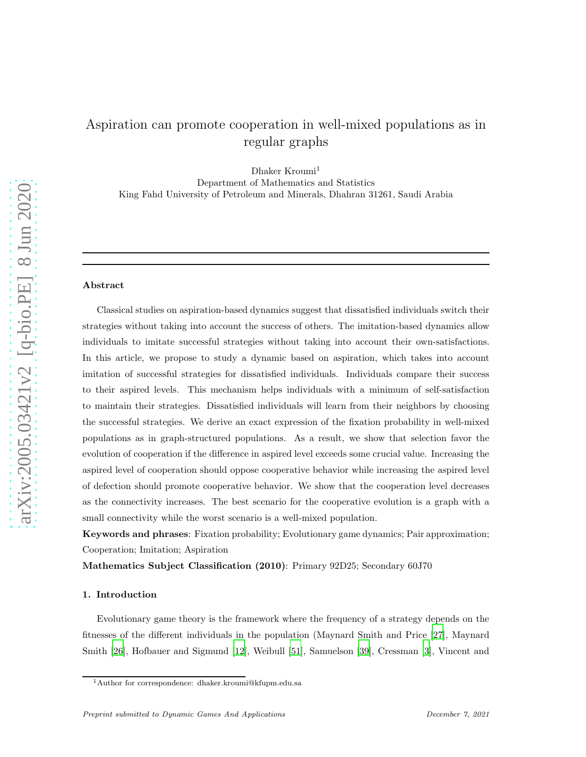# Aspiration can promote cooperation in well-mixed populations as in regular graphs

Dhaker Kroumi<sup>1</sup> Department of Mathematics and Statistics King Fahd University of Petroleum and Minerals, Dhahran 31261, Saudi Arabia

# Abstract

Classical studies on aspiration-based dynamics suggest that dissatisfied individuals switch their strategies without taking into account the success of others. The imitation-based dynamics allow individuals to imitate successful strategies without taking into account their own-satisfactions. In this article, we propose to study a dynamic based on aspiration, which takes into account imitation of successful strategies for dissatisfied individuals. Individuals compare their success to their aspired levels. This mechanism helps individuals with a minimum of self-satisfaction to maintain their strategies. Dissatisfied individuals will learn from their neighbors by choosing the successful strategies. We derive an exact expression of the fixation probability in well-mixed populations as in graph-structured populations. As a result, we show that selection favor the evolution of cooperation if the difference in aspired level exceeds some crucial value. Increasing the aspired level of cooperation should oppose cooperative behavior while increasing the aspired level of defection should promote cooperative behavior. We show that the cooperation level decreases as the connectivity increases. The best scenario for the cooperative evolution is a graph with a small connectivity while the worst scenario is a well-mixed population.

Keywords and phrases: Fixation probability; Evolutionary game dynamics; Pair approximation; Cooperation; Imitation; Aspiration

Mathematics Subject Classification (2010): Primary 92D25; Secondary 60J70

#### 1. Introduction

Evolutionary game theory is the framework where the frequency of a strategy depends on the fitnesses of the different individuals in the population (Maynard Smith and Price [\[27\]](#page-15-0), Maynard Smith [\[26\]](#page-15-1), Hofbauer and Sigmund [\[12](#page-14-0)], Weibull [\[51](#page-17-0)], Samuelson [\[39\]](#page-16-0), Cressman [\[3\]](#page-14-1), Vincent and

<sup>1</sup>Author for correspondence: dhaker.kroumi@kfupm.edu.sa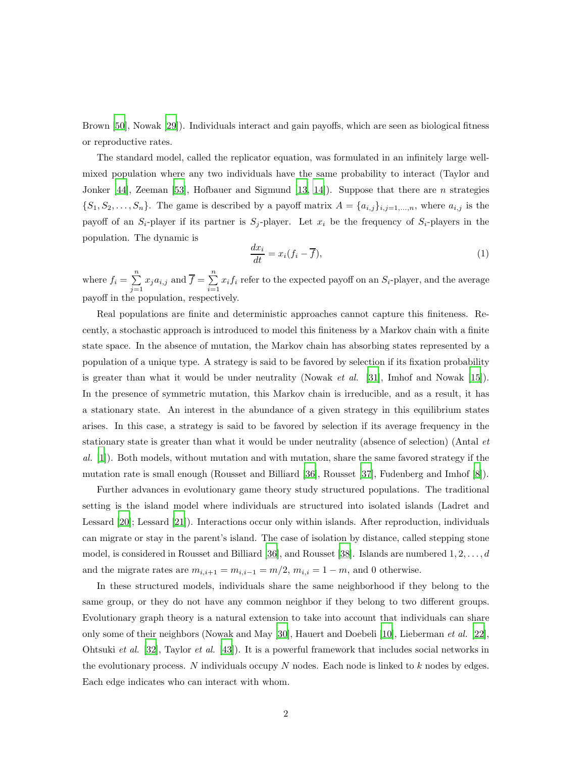Brown [\[50](#page-17-1)], Nowak [\[29](#page-16-1)]). Individuals interact and gain payoffs, which are seen as biological fitness or reproductive rates.

The standard model, called the replicator equation, was formulated in an infinitely large wellmixed population where any two individuals have the same probability to interact (Taylor and Jonker [\[44\]](#page-17-2), Zeeman [\[53](#page-17-3)], Hofbauer and Sigmund [\[13](#page-15-2), [14](#page-15-3)]). Suppose that there are n strategies  $\{S_1, S_2, \ldots, S_n\}$ . The game is described by a payoff matrix  $A = \{a_{i,j}\}_{i,j=1,\ldots,n}$ , where  $a_{i,j}$  is the payoff of an  $S_i$ -player if its partner is  $S_j$ -player. Let  $x_i$  be the frequency of  $S_i$ -players in the population. The dynamic is

$$
\frac{dx_i}{dt} = x_i(f_i - \overline{f}),\tag{1}
$$

where  $f_i = \sum^n$  $\sum_{j=1}^n x_j a_{i,j}$  and  $\overline{f} = \sum_{i=1}^n$  $\sum_{i=1} x_i f_i$  refer to the expected payoff on an  $S_i$ -player, and the average payoff in the population, respectively.

Real populations are finite and deterministic approaches cannot capture this finiteness. Recently, a stochastic approach is introduced to model this finiteness by a Markov chain with a finite state space. In the absence of mutation, the Markov chain has absorbing states represented by a population of a unique type. A strategy is said to be favored by selection if its fixation probability is greater than what it would be under neutrality (Nowak *et al.* [\[31](#page-16-2)], Imhof and Nowak [\[15\]](#page-15-4)). In the presence of symmetric mutation, this Markov chain is irreducible, and as a result, it has a stationary state. An interest in the abundance of a given strategy in this equilibrium states arises. In this case, a strategy is said to be favored by selection if its average frequency in the stationary state is greater than what it would be under neutrality (absence of selection) (Antal et al. [\[1\]](#page-14-2)). Both models, without mutation and with mutation, share the same favored strategy if the mutation rate is small enough (Rousset and Billiard [\[36](#page-16-3)], Rousset [\[37](#page-16-4)], Fudenberg and Imhof [\[8\]](#page-14-3)).

Further advances in evolutionary game theory study structured populations. The traditional setting is the island model where individuals are structured into isolated islands (Ladret and Lessard [\[20](#page-15-5)]; Lessard [\[21\]](#page-15-6)). Interactions occur only within islands. After reproduction, individuals can migrate or stay in the parent's island. The case of isolation by distance, called stepping stone model, is considered in Rousset and Billiard [\[36](#page-16-3)], and Rousset [\[38\]](#page-16-5). Islands are numbered  $1, 2, \ldots, d$ and the migrate rates are  $m_{i,i+1} = m_{i,i-1} = m/2$ ,  $m_{i,i} = 1 - m$ , and 0 otherwise.

In these structured models, individuals share the same neighborhood if they belong to the same group, or they do not have any common neighbor if they belong to two different groups. Evolutionary graph theory is a natural extension to take into account that individuals can share only some of their neighbors (Nowak and May [\[30](#page-16-6)], Hauert and Doebeli [\[10\]](#page-14-4), Lieberman et al. [\[22\]](#page-15-7), Ohtsuki et al. [\[32\]](#page-16-7), Taylor et al. [\[43](#page-16-8)]). It is a powerful framework that includes social networks in the evolutionary process. N individuals occupy  $N$  nodes. Each node is linked to  $k$  nodes by edges. Each edge indicates who can interact with whom.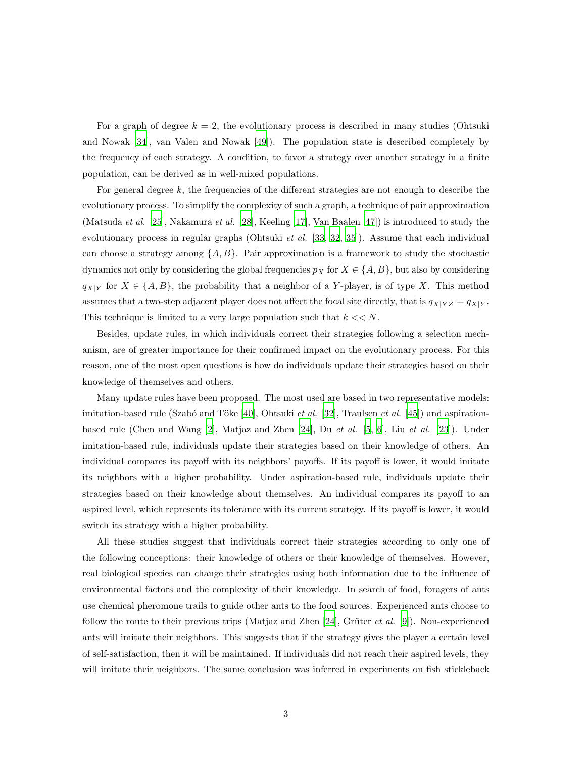For a graph of degree  $k = 2$ , the evolutionary process is described in many studies (Ohtsuki and Nowak [\[34\]](#page-16-9), van Valen and Nowak [\[49\]](#page-17-4)). The population state is described completely by the frequency of each strategy. A condition, to favor a strategy over another strategy in a finite population, can be derived as in well-mixed populations.

For general degree  $k$ , the frequencies of the different strategies are not enough to describe the evolutionary process. To simplify the complexity of such a graph, a technique of pair approximation (Matsuda et al. [\[25\]](#page-15-8), Nakamura et al. [\[28\]](#page-16-10), Keeling [\[17\]](#page-15-9), Van Baalen [\[47\]](#page-17-5)) is introduced to study the evolutionary process in regular graphs (Ohtsuki *et al.* [\[33](#page-16-11), [32,](#page-16-7) [35\]](#page-16-12)). Assume that each individual can choose a strategy among  $\{A, B\}$ . Pair approximation is a framework to study the stochastic dynamics not only by considering the global frequencies  $p_X$  for  $X \in \{A, B\}$ , but also by considering  $q_{X|Y}$  for  $X \in \{A, B\}$ , the probability that a neighbor of a Y-player, is of type X. This method assumes that a two-step adjacent player does not affect the focal site directly, that is  $q_{X|YZ} = q_{X|Y}$ . This technique is limited to a very large population such that  $k \ll N$ .

Besides, update rules, in which individuals correct their strategies following a selection mechanism, are of greater importance for their confirmed impact on the evolutionary process. For this reason, one of the most open questions is how do individuals update their strategies based on their knowledge of themselves and others.

Many update rules have been proposed. The most used are based in two representative models: imitation-based rule (Szabó and Töke [\[40](#page-16-13)], Ohtsuki et al. [\[32\]](#page-16-7), Traulsen et al. [\[45](#page-17-6)]) and aspirationbased rule (Chen and Wang  $[2]$ , Matjaz and Zhen  $[24]$ , Du et al.  $[5, 6]$  $[5, 6]$  $[5, 6]$ , Liu et al.  $[23]$ ). Under imitation-based rule, individuals update their strategies based on their knowledge of others. An individual compares its payoff with its neighbors' payoffs. If its payoff is lower, it would imitate its neighbors with a higher probability. Under aspiration-based rule, individuals update their strategies based on their knowledge about themselves. An individual compares its payoff to an aspired level, which represents its tolerance with its current strategy. If its payoff is lower, it would switch its strategy with a higher probability.

All these studies suggest that individuals correct their strategies according to only one of the following conceptions: their knowledge of others or their knowledge of themselves. However, real biological species can change their strategies using both information due to the influence of environmental factors and the complexity of their knowledge. In search of food, foragers of ants use chemical pheromone trails to guide other ants to the food sources. Experienced ants choose to follow the route to their previous trips (Matjaz and Zhen [\[24\]](#page-15-10), Grüter *et al.* [\[9](#page-14-8)]). Non-experienced ants will imitate their neighbors. This suggests that if the strategy gives the player a certain level of self-satisfaction, then it will be maintained. If individuals did not reach their aspired levels, they will imitate their neighbors. The same conclusion was inferred in experiments on fish stickleback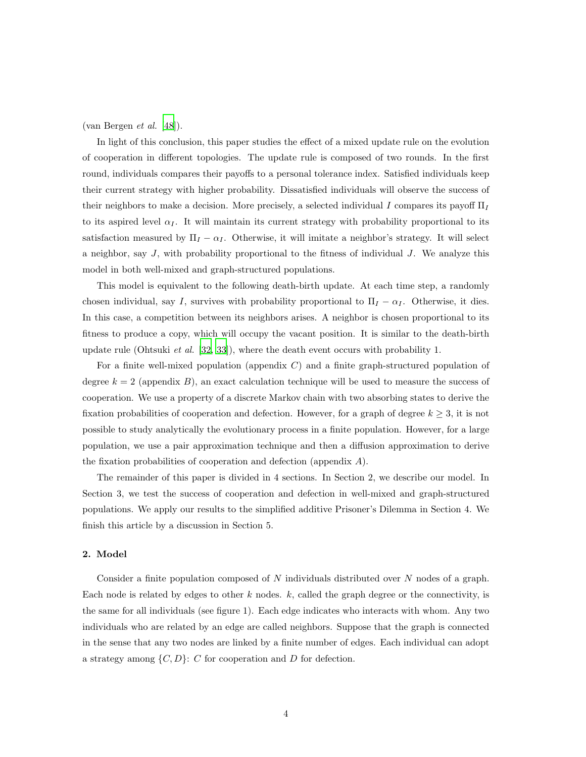(van Bergen et al.  $[48]$ ).

In light of this conclusion, this paper studies the effect of a mixed update rule on the evolution of cooperation in different topologies. The update rule is composed of two rounds. In the first round, individuals compares their payoffs to a personal tolerance index. Satisfied individuals keep their current strategy with higher probability. Dissatisfied individuals will observe the success of their neighbors to make a decision. More precisely, a selected individual I compares its payoff  $\Pi_I$ to its aspired level  $\alpha_I$ . It will maintain its current strategy with probability proportional to its satisfaction measured by  $\Pi_I - \alpha_I$ . Otherwise, it will imitate a neighbor's strategy. It will select a neighbor, say  $J$ , with probability proportional to the fitness of individual  $J$ . We analyze this model in both well-mixed and graph-structured populations.

This model is equivalent to the following death-birth update. At each time step, a randomly chosen individual, say I, survives with probability proportional to  $\Pi_I - \alpha_I$ . Otherwise, it dies. In this case, a competition between its neighbors arises. A neighbor is chosen proportional to its fitness to produce a copy, which will occupy the vacant position. It is similar to the death-birth update rule (Ohtsuki *et al.* [\[32,](#page-16-7) [33\]](#page-16-11)), where the death event occurs with probability 1.

For a finite well-mixed population (appendix C) and a finite graph-structured population of degree  $k = 2$  (appendix B), an exact calculation technique will be used to measure the success of cooperation. We use a property of a discrete Markov chain with two absorbing states to derive the fixation probabilities of cooperation and defection. However, for a graph of degree  $k \geq 3$ , it is not possible to study analytically the evolutionary process in a finite population. However, for a large population, we use a pair approximation technique and then a diffusion approximation to derive the fixation probabilities of cooperation and defection (appendix A).

The remainder of this paper is divided in 4 sections. In Section 2, we describe our model. In Section 3, we test the success of cooperation and defection in well-mixed and graph-structured populations. We apply our results to the simplified additive Prisoner's Dilemma in Section 4. We finish this article by a discussion in Section 5.

### 2. Model

Consider a finite population composed of N individuals distributed over N nodes of a graph. Each node is related by edges to other  $k$  nodes.  $k$ , called the graph degree or the connectivity, is the same for all individuals (see figure 1). Each edge indicates who interacts with whom. Any two individuals who are related by an edge are called neighbors. Suppose that the graph is connected in the sense that any two nodes are linked by a finite number of edges. Each individual can adopt a strategy among  $\{C, D\}$ : C for cooperation and D for defection.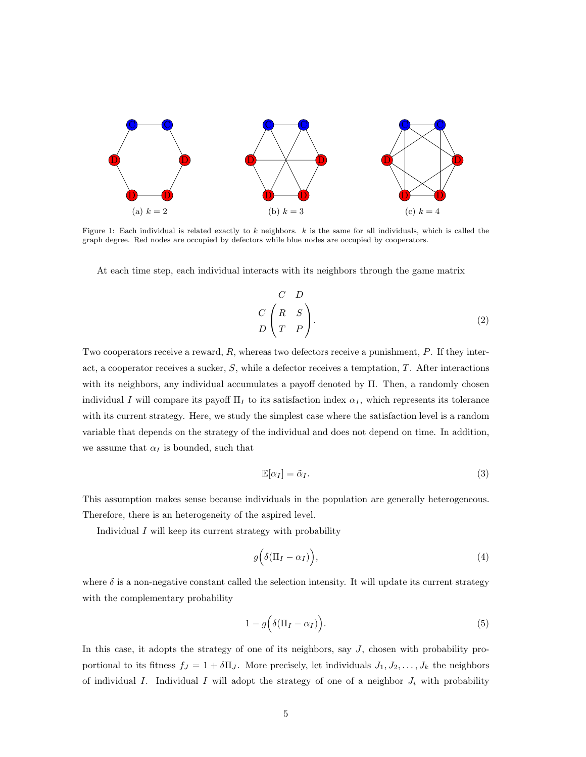

Figure 1: Each individual is related exactly to  $k$  neighbors.  $k$  is the same for all individuals, which is called the graph degree. Red nodes are occupied by defectors while blue nodes are occupied by cooperators.

At each time step, each individual interacts with its neighbors through the game matrix

<span id="page-4-0"></span>
$$
\begin{pmatrix}\nC & D \\
C & S \\
T & P\n\end{pmatrix}.
$$
\n(2)

Two cooperators receive a reward, R, whereas two defectors receive a punishment, P. If they interact, a cooperator receives a sucker,  $S$ , while a defector receives a temptation,  $T$ . After interactions with its neighbors, any individual accumulates a payoff denoted by Π. Then, a randomly chosen individual I will compare its payoff  $\Pi_I$  to its satisfaction index  $\alpha_I$ , which represents its tolerance with its current strategy. Here, we study the simplest case where the satisfaction level is a random variable that depends on the strategy of the individual and does not depend on time. In addition, we assume that  $\alpha_I$  is bounded, such that

$$
\mathbb{E}[\alpha_I] = \tilde{\alpha}_I. \tag{3}
$$

This assumption makes sense because individuals in the population are generally heterogeneous. Therefore, there is an heterogeneity of the aspired level.

Individual  $I$  will keep its current strategy with probability

$$
g\Big(\delta(\Pi_I - \alpha_I)\Big),\tag{4}
$$

where  $\delta$  is a non-negative constant called the selection intensity. It will update its current strategy with the complementary probability

<span id="page-4-1"></span>
$$
1 - g\Big(\delta(\Pi_I - \alpha_I)\Big). \tag{5}
$$

In this case, it adopts the strategy of one of its neighbors, say J, chosen with probability proportional to its fitness  $f_J = 1 + \delta \Pi_J$ . More precisely, let individuals  $J_1, J_2, \ldots, J_k$  the neighbors of individual I. Individual I will adopt the strategy of one of a neighbor  $J_i$  with probability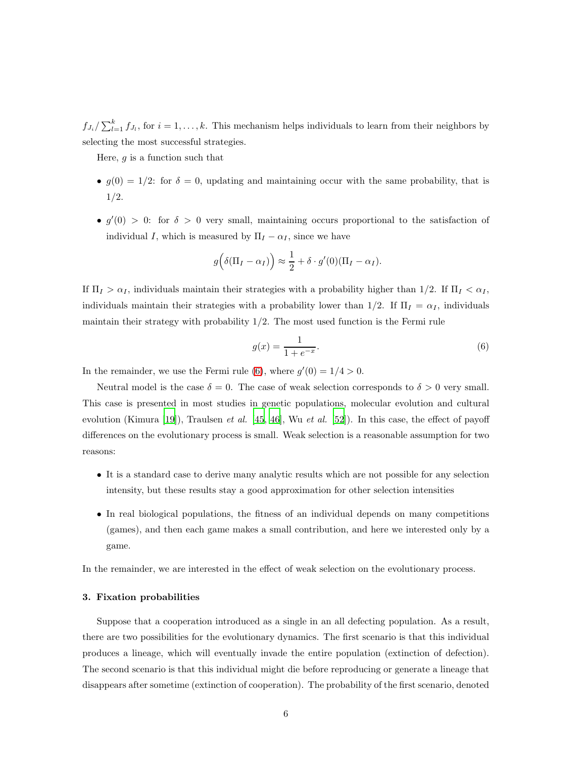$f_{J_i}/\sum_{l=1}^k f_{J_l}$ , for  $i = 1, \ldots, k$ . This mechanism helps individuals to learn from their neighbors by selecting the most successful strategies.

Here,  $g$  is a function such that

- $q(0) = 1/2$ : for  $\delta = 0$ , updating and maintaining occur with the same probability, that is 1/2.
- $g'(0) > 0$ : for  $\delta > 0$  very small, maintaining occurs proportional to the satisfaction of individual I, which is measured by  $\Pi_I - \alpha_I$ , since we have

$$
g\left(\delta(\Pi_I - \alpha_I)\right) \approx \frac{1}{2} + \delta \cdot g'(0)(\Pi_I - \alpha_I).
$$

If  $\Pi_I > \alpha_I$ , individuals maintain their strategies with a probability higher than 1/2. If  $\Pi_I < \alpha_I$ , individuals maintain their strategies with a probability lower than 1/2. If  $\Pi_I = \alpha_I$ , individuals maintain their strategy with probability  $1/2$ . The most used function is the Fermi rule

<span id="page-5-0"></span>
$$
g(x) = \frac{1}{1 + e^{-x}}.\t(6)
$$

In the remainder, we use the Fermi rule [\(6\)](#page-5-0), where  $g'(0) = 1/4 > 0$ .

Neutral model is the case  $\delta = 0$ . The case of weak selection corresponds to  $\delta > 0$  very small. This case is presented in most studies in genetic populations, molecular evolution and cultural evolution (Kimura [\[19\]](#page-15-12)), Traulsen *et al.* [\[45](#page-17-6), [46](#page-17-8)], Wu *et al.* [\[52\]](#page-17-9)). In this case, the effect of payoff differences on the evolutionary process is small. Weak selection is a reasonable assumption for two reasons:

- It is a standard case to derive many analytic results which are not possible for any selection intensity, but these results stay a good approximation for other selection intensities
- In real biological populations, the fitness of an individual depends on many competitions (games), and then each game makes a small contribution, and here we interested only by a game.

In the remainder, we are interested in the effect of weak selection on the evolutionary process.

# 3. Fixation probabilities

Suppose that a cooperation introduced as a single in an all defecting population. As a result, there are two possibilities for the evolutionary dynamics. The first scenario is that this individual produces a lineage, which will eventually invade the entire population (extinction of defection). The second scenario is that this individual might die before reproducing or generate a lineage that disappears after sometime (extinction of cooperation). The probability of the first scenario, denoted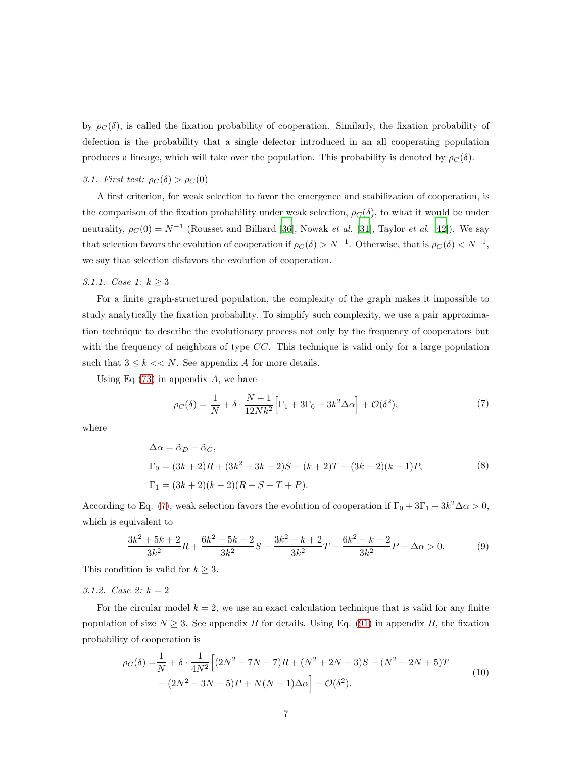by  $\rho_C(\delta)$ , is called the fixation probability of cooperation. Similarly, the fixation probability of defection is the probability that a single defector introduced in an all cooperating population produces a lineage, which will take over the population. This probability is denoted by  $\rho_C(\delta)$ .

# 3.1. First test:  $\rho_C(\delta) > \rho_C(0)$

A first criterion, for weak selection to favor the emergence and stabilization of cooperation, is the comparison of the fixation probability under weak selection,  $\rho_C(\delta)$ , to what it would be under neutrality,  $\rho_C(0) = N^{-1}$  (Rousset and Billiard [\[36\]](#page-16-3), Nowak *et al.* [\[31](#page-16-2)], Taylor *et al.* [\[42](#page-16-14)]). We say that selection favors the evolution of cooperation if  $\rho_C(\delta) > N^{-1}$ . Otherwise, that is  $\rho_C(\delta) < N^{-1}$ , we say that selection disfavors the evolution of cooperation.

# 3.1.1. *Case 1*:  $k \ge 3$

For a finite graph-structured population, the complexity of the graph makes it impossible to study analytically the fixation probability. To simplify such complexity, we use a pair approximation technique to describe the evolutionary process not only by the frequency of cooperators but with the frequency of neighbors of type  $CC$ . This technique is valid only for a large population such that  $3 \leq k \lt N$ . See appendix A for more details.

<span id="page-6-0"></span>Using Eq  $(73)$  in appendix A, we have

$$
\rho_C(\delta) = \frac{1}{N} + \delta \cdot \frac{N-1}{12Nk^2} \Big[ \Gamma_1 + 3\Gamma_0 + 3k^2 \Delta \alpha \Big] + \mathcal{O}(\delta^2),\tag{7}
$$

where

$$
\Delta \alpha = \tilde{\alpha}_D - \tilde{\alpha}_C,
$$
  
\n
$$
\Gamma_0 = (3k+2)R + (3k^2 - 3k - 2)S - (k+2)T - (3k+2)(k-1)P,
$$
  
\n
$$
\Gamma_1 = (3k+2)(k-2)(R - S - T + P).
$$
\n(8)

According to Eq. [\(7\)](#page-6-0), weak selection favors the evolution of cooperation if  $\Gamma_0 + 3\Gamma_1 + 3k^2\Delta\alpha > 0$ , which is equivalent to

<span id="page-6-1"></span>
$$
\frac{3k^2 + 5k + 2}{3k^2}R + \frac{6k^2 - 5k - 2}{3k^2}S - \frac{3k^2 - k + 2}{3k^2}T - \frac{6k^2 + k - 2}{3k^2}P + \Delta\alpha > 0.
$$
 (9)

This condition is valid for  $k \geq 3$ .

### 3.1.2. Case 2:  $k = 2$

For the circular model  $k = 2$ , we use an exact calculation technique that is valid for any finite population of size  $N \geq 3$ . See appendix B for details. Using Eq. [\(91\)](#page-28-0) in appendix B, the fixation probability of cooperation is

<span id="page-6-2"></span>
$$
\rho_C(\delta) = \frac{1}{N} + \delta \cdot \frac{1}{4N^2} \Big[ (2N^2 - 7N + 7)R + (N^2 + 2N - 3)S - (N^2 - 2N + 5)T - (2N^2 - 3N - 5)P + N(N - 1)\Delta\alpha \Big] + \mathcal{O}(\delta^2). \tag{10}
$$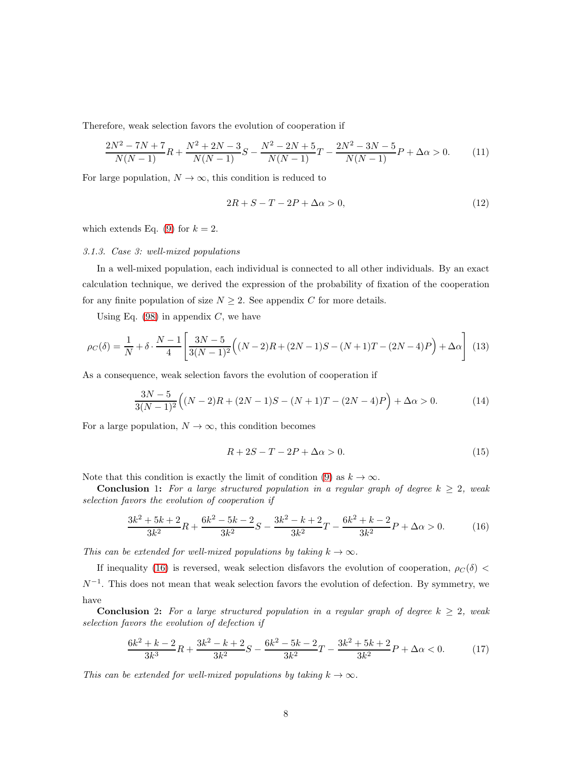Therefore, weak selection favors the evolution of cooperation if

$$
\frac{2N^2 - 7N + 7}{N(N-1)}R + \frac{N^2 + 2N - 3}{N(N-1)}S - \frac{N^2 - 2N + 5}{N(N-1)}T - \frac{2N^2 - 3N - 5}{N(N-1)}P + \Delta\alpha > 0.
$$
 (11)

For large population,  $N \to \infty$ , this condition is reduced to

$$
2R + S - T - 2P + \Delta\alpha > 0,\tag{12}
$$

which extends Eq. [\(9\)](#page-6-1) for  $k = 2$ .

#### 3.1.3. Case 3: well-mixed populations

In a well-mixed population, each individual is connected to all other individuals. By an exact calculation technique, we derived the expression of the probability of fixation of the cooperation for any finite population of size  $N \geq 2$ . See appendix C for more details.

Using Eq.  $(98)$  in appendix C, we have

<span id="page-7-1"></span>
$$
\rho_C(\delta) = \frac{1}{N} + \delta \cdot \frac{N-1}{4} \left[ \frac{3N-5}{3(N-1)^2} \Big( (N-2)R + (2N-1)S - (N+1)T - (2N-4)P \Big) + \Delta \alpha \right] \tag{13}
$$

As a consequence, weak selection favors the evolution of cooperation if

$$
\frac{3N-5}{3(N-1)^2} \Big( (N-2)R + (2N-1)S - (N+1)T - (2N-4)P \Big) + \Delta \alpha > 0.
$$
 (14)

For a large population,  $N \to \infty$ , this condition becomes

$$
R + 2S - T - 2P + \Delta \alpha > 0. \tag{15}
$$

Note that this condition is exactly the limit of condition [\(9\)](#page-6-1) as  $k \to \infty$ .

Conclusion 1: For a large structured population in a regular graph of degree  $k \geq 2$ , weak selection favors the evolution of cooperation if

<span id="page-7-0"></span>
$$
\frac{3k^2 + 5k + 2}{3k^2}R + \frac{6k^2 - 5k - 2}{3k^2}S - \frac{3k^2 - k + 2}{3k^2}T - \frac{6k^2 + k - 2}{3k^2}P + \Delta\alpha > 0.
$$
 (16)

This can be extended for well-mixed populations by taking  $k \to \infty$ .

If inequality [\(16\)](#page-7-0) is reversed, weak selection disfavors the evolution of cooperation,  $\rho_C(\delta)$  <  $N^{-1}$ . This does not mean that weak selection favors the evolution of defection. By symmetry, we have

**Conclusion** 2: For a large structured population in a regular graph of degree  $k \geq 2$ , weak selection favors the evolution of defection if

<span id="page-7-2"></span>
$$
\frac{6k^2 + k - 2}{3k^3}R + \frac{3k^2 - k + 2}{3k^2}S - \frac{6k^2 - 5k - 2}{3k^2}T - \frac{3k^2 + 5k + 2}{3k^2}P + \Delta\alpha < 0. \tag{17}
$$

This can be extended for well-mixed populations by taking  $k \to \infty$ .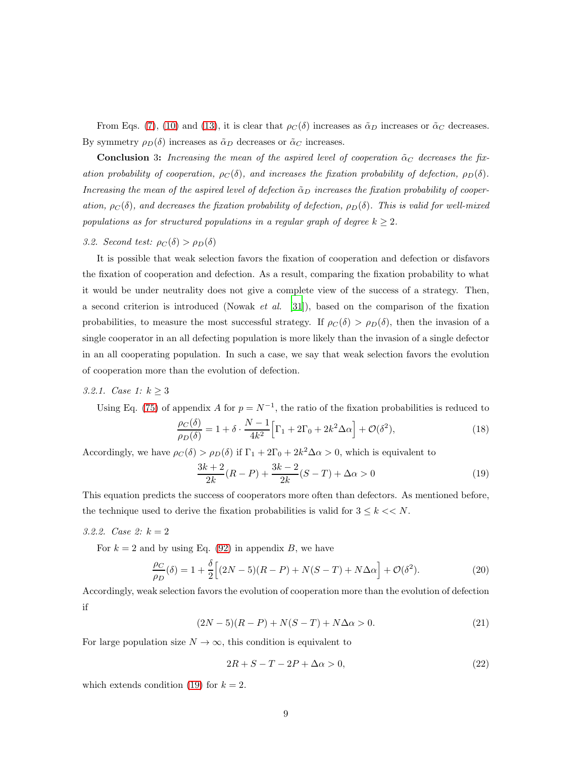From Eqs. [\(7\)](#page-6-0), [\(10\)](#page-6-2) and [\(13\)](#page-7-1), it is clear that  $\rho_C(\delta)$  increases as  $\tilde{\alpha}_D$  increases or  $\tilde{\alpha}_C$  decreases. By symmetry  $\rho_D(\delta)$  increases as  $\tilde{\alpha}_D$  decreases or  $\tilde{\alpha}_C$  increases.

**Conclusion 3:** Increasing the mean of the aspired level of cooperation  $\tilde{\alpha}_C$  decreases the fixation probability of cooperation,  $\rho_C(\delta)$ , and increases the fixation probability of defection,  $\rho_D(\delta)$ . Increasing the mean of the aspired level of defection  $\tilde{\alpha}_D$  increases the fixation probability of cooperation,  $\rho_C(\delta)$ , and decreases the fixation probability of defection,  $\rho_D(\delta)$ . This is valid for well-mixed populations as for structured populations in a regular graph of degree  $k \geq 2$ .

3.2. Second test:  $\rho_C(\delta) > \rho_D(\delta)$ 

It is possible that weak selection favors the fixation of cooperation and defection or disfavors the fixation of cooperation and defection. As a result, comparing the fixation probability to what it would be under neutrality does not give a complete view of the success of a strategy. Then, a second criterion is introduced (Nowak *et al.* [\[31\]](#page-16-2)), based on the comparison of the fixation probabilities, to measure the most successful strategy. If  $\rho_C(\delta) > \rho_D(\delta)$ , then the invasion of a single cooperator in an all defecting population is more likely than the invasion of a single defector in an all cooperating population. In such a case, we say that weak selection favors the evolution of cooperation more than the evolution of defection.

3.2.1. Case 1:  $k \ge 3$ 

Using Eq. [\(75\)](#page-24-1) of appendix A for  $p = N^{-1}$ , the ratio of the fixation probabilities is reduced to

$$
\frac{\rho_C(\delta)}{\rho_D(\delta)} = 1 + \delta \cdot \frac{N-1}{4k^2} \Big[ \Gamma_1 + 2\Gamma_0 + 2k^2 \Delta \alpha \Big] + \mathcal{O}(\delta^2),\tag{18}
$$

Accordingly, we have  $\rho_C(\delta) > \rho_D(\delta)$  if  $\Gamma_1 + 2\Gamma_0 + 2k^2\Delta\alpha > 0$ , which is equivalent to

<span id="page-8-0"></span>
$$
\frac{3k+2}{2k}(R-P) + \frac{3k-2}{2k}(S-T) + \Delta\alpha > 0
$$
\n(19)

This equation predicts the success of cooperators more often than defectors. As mentioned before, the technique used to derive the fixation probabilities is valid for  $3 \leq k \lt N$ .

3.2.2. *Case 2:*  $k = 2$ 

For  $k = 2$  and by using Eq. [\(92\)](#page-28-1) in appendix B, we have

$$
\frac{\rho_C}{\rho_D}(\delta) = 1 + \frac{\delta}{2} \Big[ (2N - 5)(R - P) + N(S - T) + N\Delta\alpha \Big] + \mathcal{O}(\delta^2). \tag{20}
$$

Accordingly, weak selection favors the evolution of cooperation more than the evolution of defection if

$$
(2N-5)(R-P) + N(S-T) + N\Delta\alpha > 0.
$$
 (21)

For large population size  $N \to \infty$ , this condition is equivalent to

$$
2R + S - T - 2P + \Delta\alpha > 0,\tag{22}
$$

which extends condition [\(19\)](#page-8-0) for  $k = 2$ .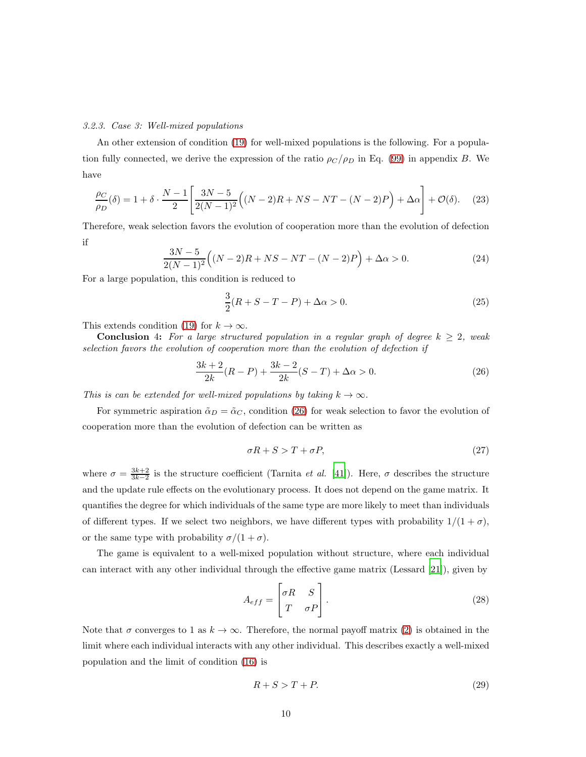## 3.2.3. Case 3: Well-mixed populations

An other extension of condition [\(19\)](#page-8-0) for well-mixed populations is the following. For a population fully connected, we derive the expression of the ratio  $\rho_C / \rho_D$  in Eq. [\(99\)](#page-29-1) in appendix B. We have

$$
\frac{\rho_C}{\rho_D}(\delta) = 1 + \delta \cdot \frac{N-1}{2} \left[ \frac{3N-5}{2(N-1)^2} \left( (N-2)R + NS - NT - (N-2)P \right) + \Delta \alpha \right] + \mathcal{O}(\delta). \tag{23}
$$

Therefore, weak selection favors the evolution of cooperation more than the evolution of defection if

$$
\frac{3N-5}{2(N-1)^2} \Big( (N-2)R + NS - NT - (N-2)P \Big) + \Delta \alpha > 0.
$$
 (24)

For a large population, this condition is reduced to

$$
\frac{3}{2}(R + S - T - P) + \Delta \alpha > 0.
$$
 (25)

This extends condition [\(19\)](#page-8-0) for  $k \to \infty$ .

**Conclusion** 4: For a large structured population in a regular graph of degree  $k \geq 2$ , weak selection favors the evolution of cooperation more than the evolution of defection if

<span id="page-9-0"></span>
$$
\frac{3k+2}{2k}(R-P) + \frac{3k-2}{2k}(S-T) + \Delta\alpha > 0.
$$
 (26)

This is can be extended for well-mixed populations by taking  $k \to \infty$ .

For symmetric aspiration  $\tilde{\alpha}_D = \tilde{\alpha}_C$ , condition [\(26\)](#page-9-0) for weak selection to favor the evolution of cooperation more than the evolution of defection can be written as

$$
\sigma R + S > T + \sigma P, \tag{27}
$$

where  $\sigma = \frac{3k+2}{3k-2}$  is the structure coefficient (Tarnita *et al.* [\[41\]](#page-16-15)). Here,  $\sigma$  describes the structure and the update rule effects on the evolutionary process. It does not depend on the game matrix. It quantifies the degree for which individuals of the same type are more likely to meet than individuals of different types. If we select two neighbors, we have different types with probability  $1/(1 + \sigma)$ , or the same type with probability  $\sigma/(1+\sigma)$ .

The game is equivalent to a well-mixed population without structure, where each individual can interact with any other individual through the effective game matrix (Lessard [\[21](#page-15-6)]), given by

$$
A_{eff} = \begin{bmatrix} \sigma R & S \\ T & \sigma P \end{bmatrix} . \tag{28}
$$

Note that  $\sigma$  converges to 1 as  $k \to \infty$ . Therefore, the normal payoff matrix [\(2\)](#page-4-0) is obtained in the limit where each individual interacts with any other individual. This describes exactly a well-mixed population and the limit of condition [\(16\)](#page-7-0) is

$$
R + S > T + P.\tag{29}
$$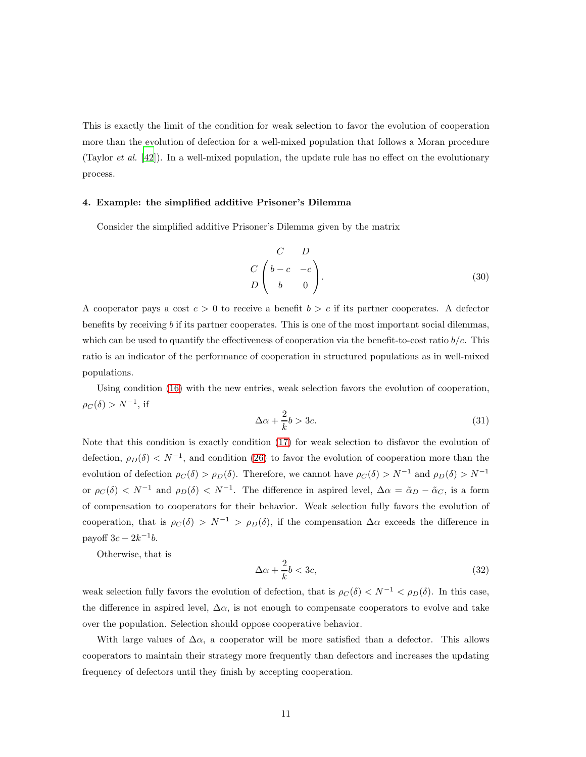This is exactly the limit of the condition for weak selection to favor the evolution of cooperation more than the evolution of defection for a well-mixed population that follows a Moran procedure (Taylor *et al.* [\[42\]](#page-16-14)). In a well-mixed population, the update rule has no effect on the evolutionary process.

## 4. Example: the simplified additive Prisoner's Dilemma

Consider the simplified additive Prisoner's Dilemma given by the matrix

$$
\begin{pmatrix}\nC & D \\
D & -c & -c \\
D & 0\n\end{pmatrix}.
$$
\n(30)

A cooperator pays a cost  $c > 0$  to receive a benefit  $b > c$  if its partner cooperates. A defector benefits by receiving b if its partner cooperates. This is one of the most important social dilemmas, which can be used to quantify the effectiveness of cooperation via the benefit-to-cost ratio  $b/c$ . This ratio is an indicator of the performance of cooperation in structured populations as in well-mixed populations.

Using condition [\(16\)](#page-7-0) with the new entries, weak selection favors the evolution of cooperation,  $\rho_C(\delta) > N^{-1}$ , if

<span id="page-10-0"></span>
$$
\Delta \alpha + \frac{2}{k}b > 3c. \tag{31}
$$

Note that this condition is exactly condition [\(17\)](#page-7-2) for weak selection to disfavor the evolution of defection,  $\rho_D(\delta) < N^{-1}$ , and condition [\(26\)](#page-9-0) to favor the evolution of cooperation more than the evolution of defection  $\rho_C(\delta) > \rho_D(\delta)$ . Therefore, we cannot have  $\rho_C(\delta) > N^{-1}$  and  $\rho_D(\delta) > N^{-1}$ or  $\rho_C(\delta) < N^{-1}$  and  $\rho_D(\delta) < N^{-1}$ . The difference in aspired level,  $\Delta \alpha = \tilde{\alpha}_D - \tilde{\alpha}_C$ , is a form of compensation to cooperators for their behavior. Weak selection fully favors the evolution of cooperation, that is  $\rho_C(\delta) > N^{-1} > \rho_D(\delta)$ , if the compensation  $\Delta \alpha$  exceeds the difference in payoff  $3c - 2k^{-1}b$ .

Otherwise, that is

$$
\Delta \alpha + \frac{2}{k}b < 3c,\tag{32}
$$

weak selection fully favors the evolution of defection, that is  $\rho_C(\delta) < N^{-1} < \rho_D(\delta)$ . In this case, the difference in aspired level,  $\Delta \alpha$ , is not enough to compensate cooperators to evolve and take over the population. Selection should oppose cooperative behavior.

With large values of  $\Delta \alpha$ , a cooperator will be more satisfied than a defector. This allows cooperators to maintain their strategy more frequently than defectors and increases the updating frequency of defectors until they finish by accepting cooperation.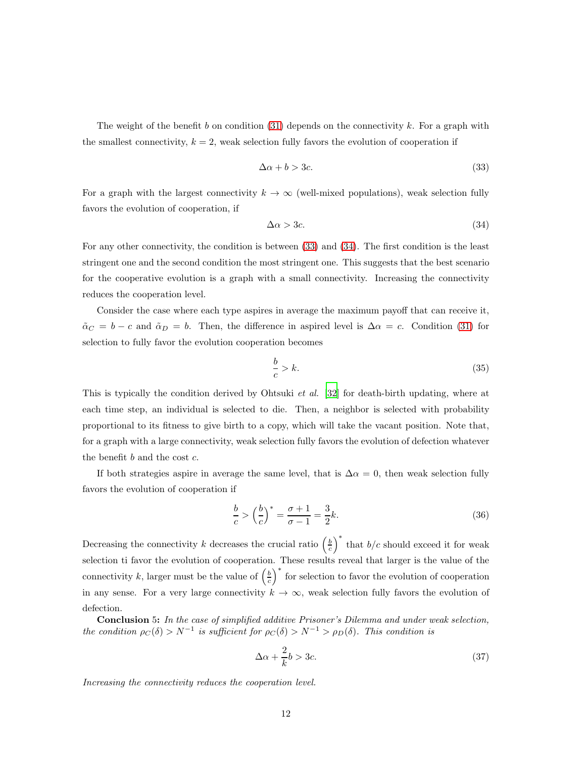The weight of the benefit b on condition  $(31)$  depends on the connectivity k. For a graph with the smallest connectivity,  $k = 2$ , weak selection fully favors the evolution of cooperation if

<span id="page-11-0"></span>
$$
\Delta \alpha + b > 3c. \tag{33}
$$

For a graph with the largest connectivity  $k \to \infty$  (well-mixed populations), weak selection fully favors the evolution of cooperation, if

<span id="page-11-1"></span>
$$
\Delta \alpha > 3c. \tag{34}
$$

For any other connectivity, the condition is between [\(33\)](#page-11-0) and [\(34\)](#page-11-1). The first condition is the least stringent one and the second condition the most stringent one. This suggests that the best scenario for the cooperative evolution is a graph with a small connectivity. Increasing the connectivity reduces the cooperation level.

Consider the case where each type aspires in average the maximum payoff that can receive it,  $\tilde{\alpha}_C = b - c$  and  $\tilde{\alpha}_D = b$ . Then, the difference in aspired level is  $\Delta \alpha = c$ . Condition [\(31\)](#page-10-0) for selection to fully favor the evolution cooperation becomes

$$
\frac{b}{c} > k.\tag{35}
$$

This is typically the condition derived by Ohtsuki *et al.* [\[32](#page-16-7)] for death-birth updating, where at each time step, an individual is selected to die. Then, a neighbor is selected with probability proportional to its fitness to give birth to a copy, which will take the vacant position. Note that, for a graph with a large connectivity, weak selection fully favors the evolution of defection whatever the benefit  $b$  and the cost  $c$ .

If both strategies aspire in average the same level, that is  $\Delta \alpha = 0$ , then weak selection fully favors the evolution of cooperation if

$$
\frac{b}{c} > \left(\frac{b}{c}\right)^* = \frac{\sigma + 1}{\sigma - 1} = \frac{3}{2}k.
$$
\n(36)

Decreasing the connectivity k decreases the crucial ratio  $\left(\frac{b}{c}\right)^*$  that  $b/c$  should exceed it for weak selection ti favor the evolution of cooperation. These results reveal that larger is the value of the connectivity k, larger must be the value of  $\left(\frac{b}{c}\right)^*$  for selection to favor the evolution of cooperation in any sense. For a very large connectivity  $k \to \infty$ , weak selection fully favors the evolution of defection.

Conclusion 5: In the case of simplified additive Prisoner's Dilemma and under weak selection, the condition  $\rho_C(\delta) > N^{-1}$  is sufficient for  $\rho_C(\delta) > N^{-1} > \rho_D(\delta)$ . This condition is

$$
\Delta \alpha + \frac{2}{k}b > 3c. \tag{37}
$$

Increasing the connectivity reduces the cooperation level.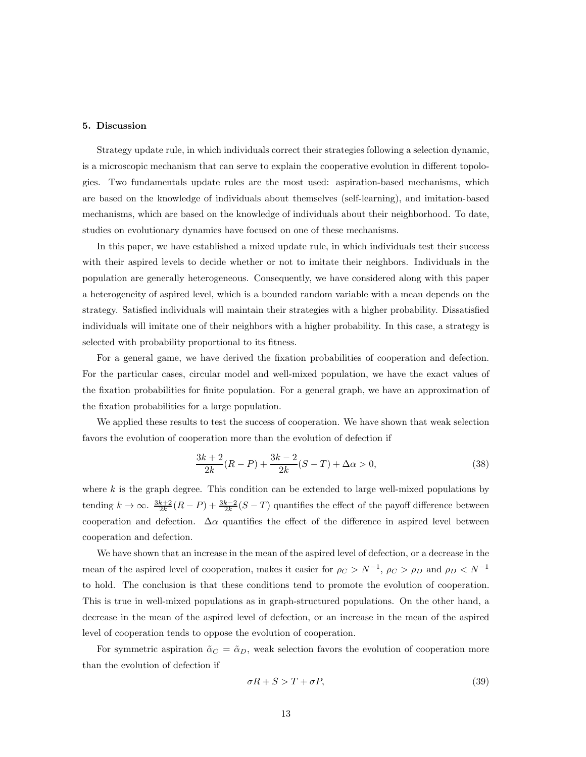#### 5. Discussion

Strategy update rule, in which individuals correct their strategies following a selection dynamic, is a microscopic mechanism that can serve to explain the cooperative evolution in different topologies. Two fundamentals update rules are the most used: aspiration-based mechanisms, which are based on the knowledge of individuals about themselves (self-learning), and imitation-based mechanisms, which are based on the knowledge of individuals about their neighborhood. To date, studies on evolutionary dynamics have focused on one of these mechanisms.

In this paper, we have established a mixed update rule, in which individuals test their success with their aspired levels to decide whether or not to imitate their neighbors. Individuals in the population are generally heterogeneous. Consequently, we have considered along with this paper a heterogeneity of aspired level, which is a bounded random variable with a mean depends on the strategy. Satisfied individuals will maintain their strategies with a higher probability. Dissatisfied individuals will imitate one of their neighbors with a higher probability. In this case, a strategy is selected with probability proportional to its fitness.

For a general game, we have derived the fixation probabilities of cooperation and defection. For the particular cases, circular model and well-mixed population, we have the exact values of the fixation probabilities for finite population. For a general graph, we have an approximation of the fixation probabilities for a large population.

We applied these results to test the success of cooperation. We have shown that weak selection favors the evolution of cooperation more than the evolution of defection if

$$
\frac{3k+2}{2k}(R-P) + \frac{3k-2}{2k}(S-T) + \Delta\alpha > 0,
$$
\n(38)

where  $k$  is the graph degree. This condition can be extended to large well-mixed populations by tending  $k \to \infty$ .  $\frac{3k+2}{2k}(R-P) + \frac{3k-2}{2k}(S-T)$  quantifies the effect of the payoff difference between cooperation and defection.  $\Delta \alpha$  quantifies the effect of the difference in aspired level between cooperation and defection.

We have shown that an increase in the mean of the aspired level of defection, or a decrease in the mean of the aspired level of cooperation, makes it easier for  $\rho_C > N^{-1}$ ,  $\rho_C > \rho_D$  and  $\rho_D < N^{-1}$ to hold. The conclusion is that these conditions tend to promote the evolution of cooperation. This is true in well-mixed populations as in graph-structured populations. On the other hand, a decrease in the mean of the aspired level of defection, or an increase in the mean of the aspired level of cooperation tends to oppose the evolution of cooperation.

For symmetric aspiration  $\tilde{\alpha}_C = \tilde{\alpha}_D$ , weak selection favors the evolution of cooperation more than the evolution of defection if

<span id="page-12-0"></span>
$$
\sigma R + S > T + \sigma P, \tag{39}
$$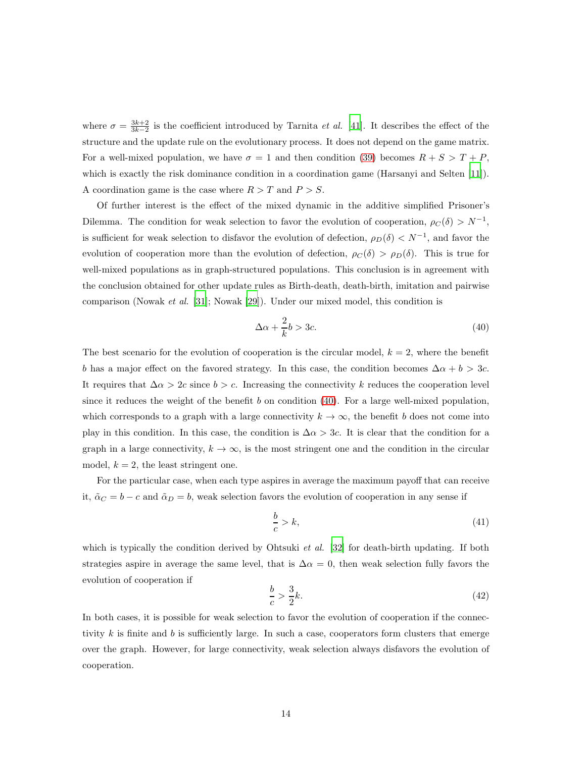where  $\sigma = \frac{3k+2}{3k-2}$  is the coefficient introduced by Tarnita *et al.* [\[41\]](#page-16-15). It describes the effect of the structure and the update rule on the evolutionary process. It does not depend on the game matrix. For a well-mixed population, we have  $\sigma = 1$  and then condition [\(39\)](#page-12-0) becomes  $R + S > T + P$ , which is exactly the risk dominance condition in a coordination game (Harsanyi and Selten [\[11\]](#page-14-9)). A coordination game is the case where  $R > T$  and  $P > S$ .

Of further interest is the effect of the mixed dynamic in the additive simplified Prisoner's Dilemma. The condition for weak selection to favor the evolution of cooperation,  $\rho_C(\delta) > N^{-1}$ , is sufficient for weak selection to disfavor the evolution of defection,  $\rho_D(\delta) < N^{-1}$ , and favor the evolution of cooperation more than the evolution of defection,  $\rho_C(\delta) > \rho_D(\delta)$ . This is true for well-mixed populations as in graph-structured populations. This conclusion is in agreement with the conclusion obtained for other update rules as Birth-death, death-birth, imitation and pairwise comparison (Nowak et al. [\[31\]](#page-16-2); Nowak [\[29\]](#page-16-1)). Under our mixed model, this condition is

<span id="page-13-0"></span>
$$
\Delta \alpha + \frac{2}{k}b > 3c. \tag{40}
$$

The best scenario for the evolution of cooperation is the circular model,  $k = 2$ , where the benefit b has a major effect on the favored strategy. In this case, the condition becomes  $\Delta \alpha + b > 3c$ . It requires that  $\Delta \alpha > 2c$  since  $b > c$ . Increasing the connectivity k reduces the cooperation level since it reduces the weight of the benefit b on condition  $(40)$ . For a large well-mixed population, which corresponds to a graph with a large connectivity  $k \to \infty$ , the benefit b does not come into play in this condition. In this case, the condition is  $\Delta \alpha > 3c$ . It is clear that the condition for a graph in a large connectivity,  $k \to \infty$ , is the most stringent one and the condition in the circular model,  $k = 2$ , the least stringent one.

For the particular case, when each type aspires in average the maximum payoff that can receive it,  $\tilde{\alpha}_C = b - c$  and  $\tilde{\alpha}_D = b$ , weak selection favors the evolution of cooperation in any sense if

$$
\frac{b}{c} > k,\tag{41}
$$

which is typically the condition derived by Ohtsuki *et al.* [\[32\]](#page-16-7) for death-birth updating. If both strategies aspire in average the same level, that is  $\Delta \alpha = 0$ , then weak selection fully favors the evolution of cooperation if

$$
\frac{b}{c} > \frac{3}{2}k.\tag{42}
$$

In both cases, it is possible for weak selection to favor the evolution of cooperation if the connectivity  $k$  is finite and  $b$  is sufficiently large. In such a case, cooperators form clusters that emerge over the graph. However, for large connectivity, weak selection always disfavors the evolution of cooperation.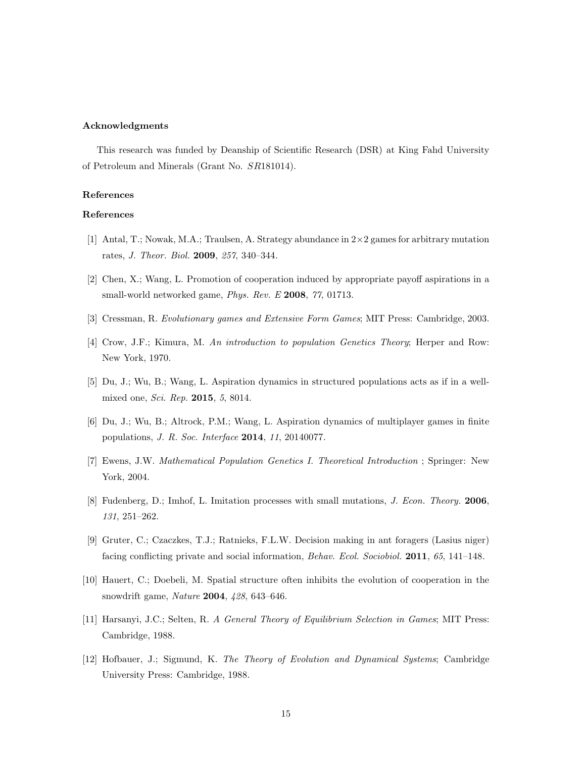### Acknowledgments

This research was funded by Deanship of Scientific Research (DSR) at King Fahd University of Petroleum and Minerals (Grant No. SR181014).

# References

# References

- <span id="page-14-2"></span>[1] Antal, T.; Nowak, M.A.; Traulsen, A. Strategy abundance in  $2\times 2$  games for arbitrary mutation rates, J. Theor. Biol. 2009, 257, 340–344.
- <span id="page-14-5"></span>[2] Chen, X.; Wang, L. Promotion of cooperation induced by appropriate payoff aspirations in a small-world networked game, *Phys. Rev. E* 2008, 77, 01713.
- <span id="page-14-1"></span>[3] Cressman, R. Evolutionary games and Extensive Form Games; MIT Press: Cambridge, 2003.
- <span id="page-14-10"></span>[4] Crow, J.F.; Kimura, M. An introduction to population Genetics Theory; Herper and Row: New York, 1970.
- <span id="page-14-6"></span>[5] Du, J.; Wu, B.; Wang, L. Aspiration dynamics in structured populations acts as if in a wellmixed one, Sci. Rep. 2015, 5, 8014.
- <span id="page-14-7"></span>[6] Du, J.; Wu, B.; Altrock, P.M.; Wang, L. Aspiration dynamics of multiplayer games in finite populations, J. R. Soc. Interface 2014, 11, 20140077.
- <span id="page-14-11"></span>[7] Ewens, J.W. Mathematical Population Genetics I. Theoretical Introduction ; Springer: New York, 2004.
- <span id="page-14-3"></span>[8] Fudenberg, D.; Imhof, L. Imitation processes with small mutations, J. Econ. Theory. 2006, 131, 251–262.
- <span id="page-14-8"></span>[9] Gruter, C.; Czaczkes, T.J.; Ratnieks, F.L.W. Decision making in ant foragers (Lasius niger) facing conflicting private and social information, Behav. Ecol. Sociobiol. 2011, 65, 141–148.
- <span id="page-14-4"></span>[10] Hauert, C.; Doebeli, M. Spatial structure often inhibits the evolution of cooperation in the snowdrift game, Nature 2004, 428, 643–646.
- <span id="page-14-9"></span>[11] Harsanyi, J.C.; Selten, R. A General Theory of Equilibrium Selection in Games; MIT Press: Cambridge, 1988.
- <span id="page-14-0"></span>[12] Hofbauer, J.; Sigmund, K. The Theory of Evolution and Dynamical Systems; Cambridge University Press: Cambridge, 1988.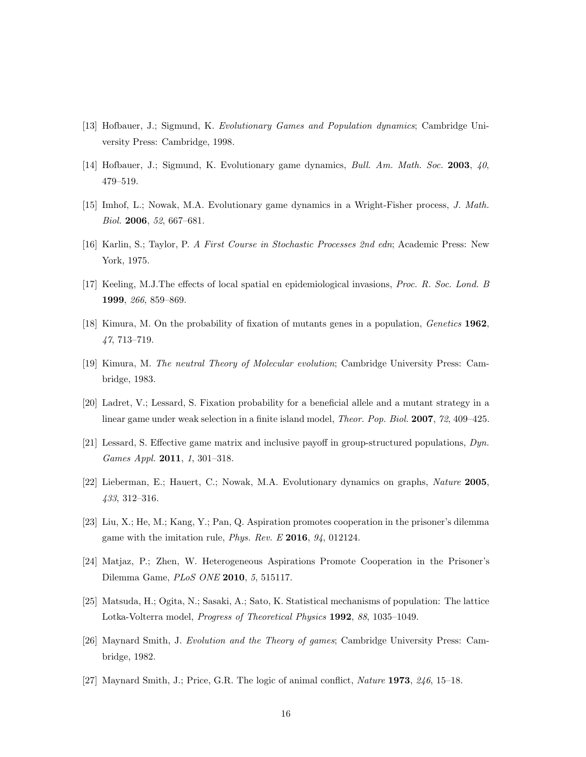- <span id="page-15-2"></span>[13] Hofbauer, J.; Sigmund, K. Evolutionary Games and Population dynamics; Cambridge University Press: Cambridge, 1998.
- <span id="page-15-3"></span>[14] Hofbauer, J.; Sigmund, K. Evolutionary game dynamics, Bull. Am. Math. Soc. 2003, 40, 479–519.
- <span id="page-15-4"></span>[15] Imhof, L.; Nowak, M.A. Evolutionary game dynamics in a Wright-Fisher process, J. Math. Biol. 2006, 52, 667–681.
- <span id="page-15-14"></span>[16] Karlin, S.; Taylor, P. A First Course in Stochastic Processes 2nd edn; Academic Press: New York, 1975.
- <span id="page-15-9"></span>[17] Keeling, M.J.The effects of local spatial en epidemiological invasions, Proc. R. Soc. Lond. B 1999, 266, 859–869.
- <span id="page-15-13"></span>[18] Kimura, M. On the probability of fixation of mutants genes in a population, Genetics 1962, 47, 713–719.
- <span id="page-15-12"></span>[19] Kimura, M. The neutral Theory of Molecular evolution; Cambridge University Press: Cambridge, 1983.
- <span id="page-15-5"></span>[20] Ladret, V.; Lessard, S. Fixation probability for a beneficial allele and a mutant strategy in a linear game under weak selection in a finite island model, Theor. Pop. Biol. 2007, 72, 409–425.
- <span id="page-15-6"></span>[21] Lessard, S. Effective game matrix and inclusive payoff in group-structured populations,  $Dyn$ . Games Appl. 2011, 1, 301–318.
- <span id="page-15-7"></span>[22] Lieberman, E.; Hauert, C.; Nowak, M.A. Evolutionary dynamics on graphs, Nature 2005, 433, 312–316.
- <span id="page-15-11"></span>[23] Liu, X.; He, M.; Kang, Y.; Pan, Q. Aspiration promotes cooperation in the prisoner's dilemma game with the imitation rule, *Phys. Rev. E* 2016,  $94$ , 012124.
- <span id="page-15-10"></span>[24] Matjaz, P.; Zhen, W. Heterogeneous Aspirations Promote Cooperation in the Prisoner's Dilemma Game, PLoS ONE 2010, 5, 515117.
- <span id="page-15-8"></span>[25] Matsuda, H.; Ogita, N.; Sasaki, A.; Sato, K. Statistical mechanisms of population: The lattice Lotka-Volterra model, Progress of Theoretical Physics 1992, 88, 1035–1049.
- <span id="page-15-1"></span>[26] Maynard Smith, J. Evolution and the Theory of games; Cambridge University Press: Cambridge, 1982.
- <span id="page-15-0"></span>[27] Maynard Smith, J.; Price, G.R. The logic of animal conflict, Nature 1973, 246, 15–18.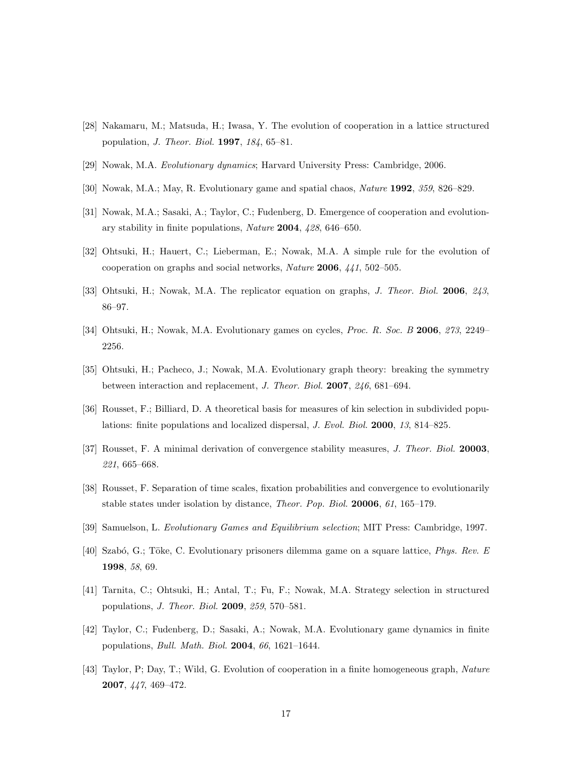- <span id="page-16-10"></span>[28] Nakamaru, M.; Matsuda, H.; Iwasa, Y. The evolution of cooperation in a lattice structured population, J. Theor. Biol. 1997, 184, 65–81.
- <span id="page-16-1"></span>[29] Nowak, M.A. Evolutionary dynamics; Harvard University Press: Cambridge, 2006.
- <span id="page-16-6"></span>[30] Nowak, M.A.; May, R. Evolutionary game and spatial chaos, Nature 1992, 359, 826–829.
- <span id="page-16-2"></span>[31] Nowak, M.A.; Sasaki, A.; Taylor, C.; Fudenberg, D. Emergence of cooperation and evolutionary stability in finite populations, Nature 2004, 428, 646–650.
- <span id="page-16-7"></span>[32] Ohtsuki, H.; Hauert, C.; Lieberman, E.; Nowak, M.A. A simple rule for the evolution of cooperation on graphs and social networks, Nature 2006, 441, 502–505.
- <span id="page-16-11"></span>[33] Ohtsuki, H.; Nowak, M.A. The replicator equation on graphs, J. Theor. Biol. 2006, 243, 86–97.
- <span id="page-16-9"></span>[34] Ohtsuki, H.; Nowak, M.A. Evolutionary games on cycles, Proc. R. Soc. B 2006, 273, 2249– 2256.
- <span id="page-16-12"></span>[35] Ohtsuki, H.; Pacheco, J.; Nowak, M.A. Evolutionary graph theory: breaking the symmetry between interaction and replacement, J. Theor. Biol. 2007, 246, 681–694.
- <span id="page-16-3"></span>[36] Rousset, F.; Billiard, D. A theoretical basis for measures of kin selection in subdivided populations: finite populations and localized dispersal, J. Evol. Biol. 2000, 13, 814–825.
- <span id="page-16-4"></span>[37] Rousset, F. A minimal derivation of convergence stability measures, J. Theor. Biol. 20003, 221, 665–668.
- <span id="page-16-5"></span>[38] Rousset, F. Separation of time scales, fixation probabilities and convergence to evolutionarily stable states under isolation by distance, Theor. Pop. Biol. 20006, 61, 165–179.
- <span id="page-16-0"></span>[39] Samuelson, L. Evolutionary Games and Equilibrium selection; MIT Press: Cambridge, 1997.
- <span id="page-16-13"></span>[40] Szabó, G.; Töke, C. Evolutionary prisoners dilemma game on a square lattice, Phys. Rev. E 1998, 58, 69.
- <span id="page-16-15"></span>[41] Tarnita, C.; Ohtsuki, H.; Antal, T.; Fu, F.; Nowak, M.A. Strategy selection in structured populations, J. Theor. Biol. 2009, 259, 570–581.
- <span id="page-16-14"></span>[42] Taylor, C.; Fudenberg, D.; Sasaki, A.; Nowak, M.A. Evolutionary game dynamics in finite populations, Bull. Math. Biol. 2004, 66, 1621–1644.
- <span id="page-16-8"></span>[43] Taylor, P; Day, T.; Wild, G. Evolution of cooperation in a finite homogeneous graph, Nature 2007, 447, 469–472.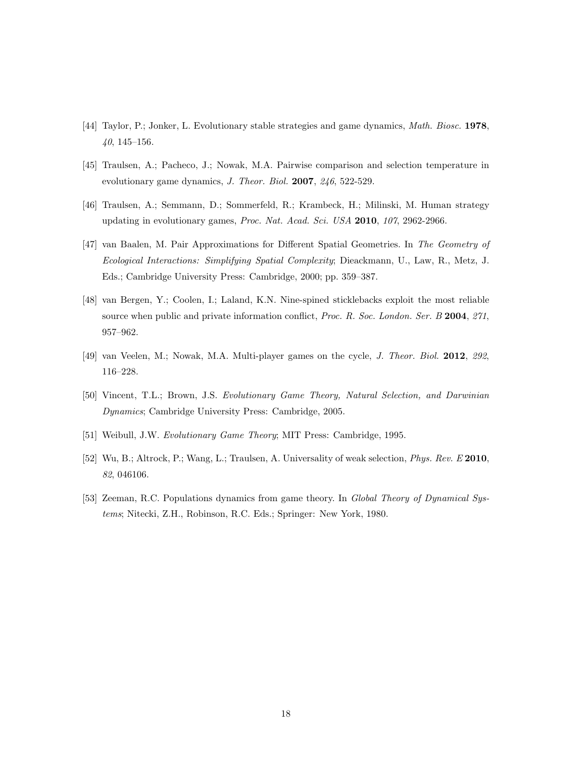- <span id="page-17-2"></span>[44] Taylor, P.; Jonker, L. Evolutionary stable strategies and game dynamics, Math. Biosc. 1978, 40, 145–156.
- <span id="page-17-6"></span>[45] Traulsen, A.; Pacheco, J.; Nowak, M.A. Pairwise comparison and selection temperature in evolutionary game dynamics, J. Theor. Biol. 2007, 246, 522-529.
- <span id="page-17-8"></span>[46] Traulsen, A.; Semmann, D.; Sommerfeld, R.; Krambeck, H.; Milinski, M. Human strategy updating in evolutionary games, Proc. Nat. Acad. Sci. USA 2010, 107, 2962-2966.
- <span id="page-17-5"></span>[47] van Baalen, M. Pair Approximations for Different Spatial Geometries. In The Geometry of Ecological Interactions: Simplifying Spatial Complexity; Dieackmann, U., Law, R., Metz, J. Eds.; Cambridge University Press: Cambridge, 2000; pp. 359–387.
- <span id="page-17-7"></span>[48] van Bergen, Y.; Coolen, I.; Laland, K.N. Nine-spined sticklebacks exploit the most reliable source when public and private information conflict, Proc. R. Soc. London. Ser. B 2004, 271, 957–962.
- <span id="page-17-4"></span>[49] van Veelen, M.; Nowak, M.A. Multi-player games on the cycle, J. Theor. Biol. 2012, 292, 116–228.
- <span id="page-17-1"></span>[50] Vincent, T.L.; Brown, J.S. Evolutionary Game Theory, Natural Selection, and Darwinian Dynamics; Cambridge University Press: Cambridge, 2005.
- <span id="page-17-0"></span>[51] Weibull, J.W. Evolutionary Game Theory; MIT Press: Cambridge, 1995.
- <span id="page-17-9"></span>[52] Wu, B.; Altrock, P.; Wang, L.; Traulsen, A. Universality of weak selection, Phys. Rev. E 2010, 82, 046106.
- <span id="page-17-3"></span>[53] Zeeman, R.C. Populations dynamics from game theory. In Global Theory of Dynamical Systems; Nitecki, Z.H., Robinson, R.C. Eds.; Springer: New York, 1980.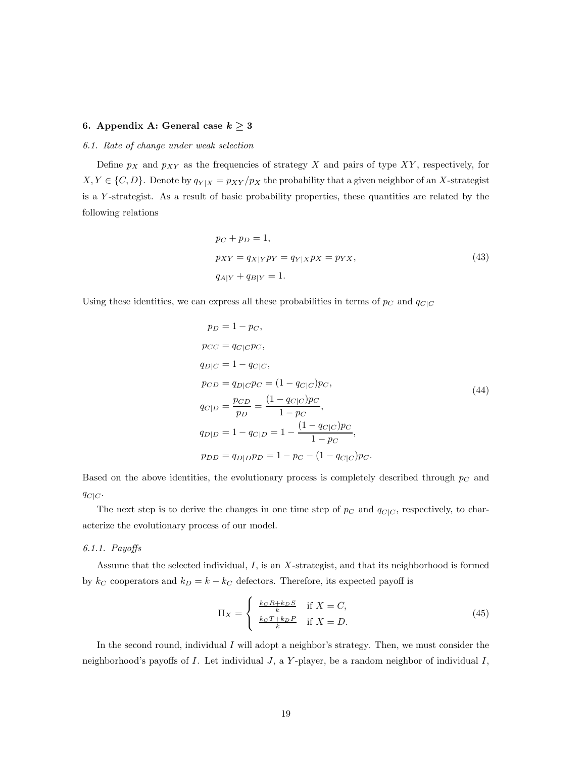# 6. Appendix A: General case  $k \geq 3$

#### 6.1. Rate of change under weak selection

Define  $p_X$  and  $p_{XY}$  as the frequencies of strategy X and pairs of type XY, respectively, for  $X, Y \in \{C, D\}$ . Denote by  $q_{Y|X} = p_{XY}/p_X$  the probability that a given neighbor of an X-strategist is a Y -strategist. As a result of basic probability properties, these quantities are related by the following relations

$$
p_C + p_D = 1,
$$
  
\n
$$
p_{XY} = q_{X|Y}p_Y = q_{Y|X}p_X = p_{YX},
$$
  
\n
$$
q_{A|Y} + q_{B|Y} = 1.
$$
\n(43)

<span id="page-18-0"></span>Using these identities, we can express all these probabilities in terms of  $p_C$  and  $q_{C|C}$ 

$$
p_D = 1 - p_C,
$$
  
\n
$$
p_{CC} = q_{C|C}p_C,
$$
  
\n
$$
q_{D|C} = 1 - q_{C|C},
$$
  
\n
$$
p_{CD} = q_{D|C}p_C = (1 - q_{C|C})p_C,
$$
  
\n
$$
q_{C|D} = \frac{p_{CD}}{p_D} = \frac{(1 - q_{C|C})p_C}{1 - p_C},
$$
  
\n
$$
q_{D|D} = 1 - q_{C|D} = 1 - \frac{(1 - q_{C|C})p_C}{1 - p_C},
$$
  
\n
$$
p_{DD} = q_{D|D}p_D = 1 - p_C - (1 - q_{C|C})p_C.
$$
  
\n(44)

Based on the above identities, the evolutionary process is completely described through  $p<sub>C</sub>$  and  $q_{C|C}$ .

The next step is to derive the changes in one time step of  $p_C$  and  $q_{C|C}$ , respectively, to characterize the evolutionary process of our model.

# 6.1.1. Payoffs

Assume that the selected individual, I, is an X-strategist, and that its neighborhood is formed by  $k_C$  cooperators and  $k_D = k - k_C$  defectors. Therefore, its expected payoff is

$$
\Pi_X = \begin{cases} \frac{k_C R + k_D S}{k} & \text{if } X = C, \\ \frac{k_C T + k_D P}{k} & \text{if } X = D. \end{cases}
$$
 (45)

In the second round, individual I will adopt a neighbor's strategy. Then, we must consider the neighborhood's payoffs of  $I$ . Let individual  $J$ , a  $Y$ -player, be a random neighbor of individual  $I$ ,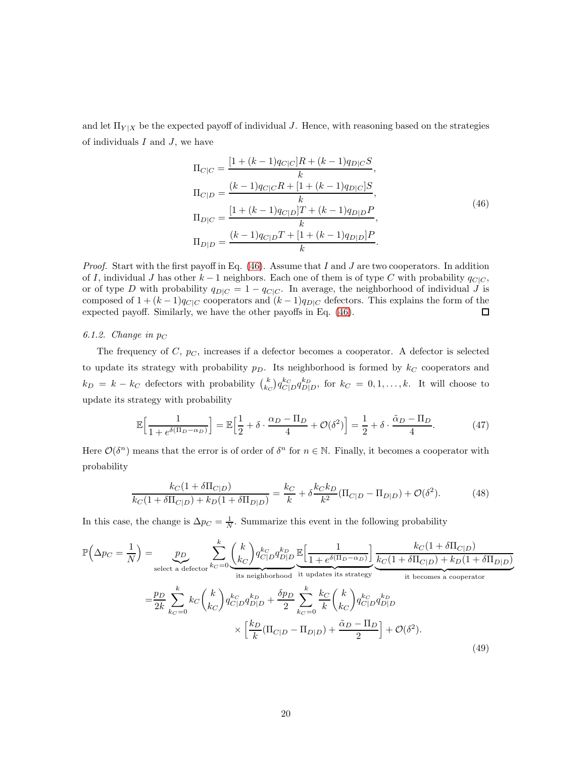and let  $\Pi_{Y|X}$  be the expected payoff of individual J. Hence, with reasoning based on the strategies of individuals  $I$  and  $J$ , we have

$$
\Pi_{C|C} = \frac{[1 + (k-1)q_{C|C}]R + (k-1)q_{D|C}S}{k},
$$
\n
$$
\Pi_{C|D} = \frac{(k-1)q_{C|C}R + [1 + (k-1)q_{D|C}]S}{k},
$$
\n
$$
\Pi_{D|C} = \frac{[1 + (k-1)q_{C|D}]T + (k-1)q_{D|D}P}{k},
$$
\n
$$
\Pi_{D|D} = \frac{(k-1)q_{C|D}T + [1 + (k-1)q_{D|D}]P}{k}.
$$
\n(46)

<span id="page-19-0"></span>*Proof.* Start with the first payoff in Eq.  $(46)$ . Assume that I and J are two cooperators. In addition of I, individual J has other  $k-1$  neighbors. Each one of them is of type C with probability  $q_{C|C}$ , or of type D with probability  $q_{D|C} = 1 - q_{C|C}$ . In average, the neighborhood of individual J is composed of  $1 + (k-1)q_{C|C}$  cooperators and  $(k-1)q_{D|C}$  defectors. This explains the form of the expected payoff. Similarly, we have the other payoffs in Eq. [\(46\)](#page-19-0). □

#### 6.1.2. Change in  $p_C$

The frequency of C,  $p<sub>C</sub>$ , increases if a defector becomes a cooperator. A defector is selected to update its strategy with probability  $p<sub>D</sub>$ . Its neighborhood is formed by  $k<sub>C</sub>$  cooperators and  $k_D = k - k_C$  defectors with probability  $\binom{k}{k_C} q_{C|D}^{k_C} q_{D|D}^{k_D}$ , for  $k_C = 0, 1, \ldots, k$ . It will choose to update its strategy with probability

$$
\mathbb{E}\Big[\frac{1}{1 + e^{\delta(\Pi_D - \alpha_D)}}\Big] = \mathbb{E}\Big[\frac{1}{2} + \delta \cdot \frac{\alpha_D - \Pi_D}{4} + \mathcal{O}(\delta^2)\Big] = \frac{1}{2} + \delta \cdot \frac{\tilde{\alpha}_D - \Pi_D}{4}.\tag{47}
$$

Here  $\mathcal{O}(\delta^n)$  means that the error is of order of  $\delta^n$  for  $n \in \mathbb{N}$ . Finally, it becomes a cooperator with probability

$$
\frac{k_C(1+\delta\Pi_{C|D})}{k_C(1+\delta\Pi_{C|D})+k_D(1+\delta\Pi_{D|D})} = \frac{k_C}{k} + \delta \frac{k_C k_D}{k^2}(\Pi_{C|D} - \Pi_{D|D}) + \mathcal{O}(\delta^2). \tag{48}
$$

In this case, the change is  $\Delta p_C = \frac{1}{N}$ . Summarize this event in the following probability

$$
\mathbb{P}\left(\Delta p_C = \frac{1}{N}\right) = \underbrace{p_D}_{\text{select a defector}} \sum_{k_C=0}^k \binom{k}{k_C} q_{C|D}^{k_C} q_{D|D}^{k_D} \underbrace{\mathbb{E}\left[\frac{1}{1+e^{\delta(\Pi_D - \alpha_D)}}\right]}_{\text{it updates its strategy}} \underbrace{\frac{k_C(1+\delta\Pi_{C|D})}{\text{it belongs a cooperator}}} \\ = \underbrace{\frac{p_D}{2k} \sum_{k_C=0}^k k_C \binom{k}{k_C} q_{C|D}^{k_C} q_{D|D}^{k_D} + \frac{\delta p_D}{2} \sum_{k_C=0}^k \frac{k_C}{k} \binom{k}{k_C} q_{C|D}^{k_C} q_{D|D}^{k_D}}_{\text{it becomes a cooperator}} \times \left[\frac{k_D}{k}(\Pi_{C|D} - \Pi_{D|D}) + \frac{\tilde{\alpha}_D - \Pi_D}{2}\right] + \mathcal{O}(\delta^2). \tag{49}
$$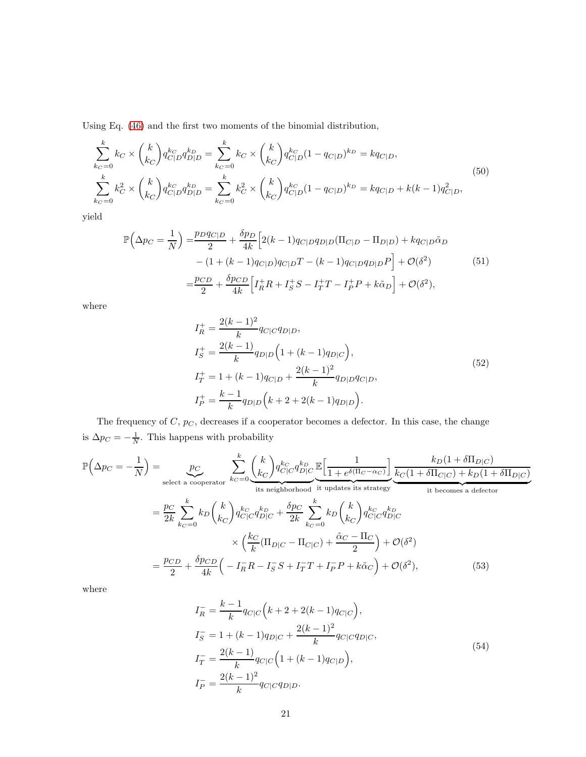Using Eq. [\(46\)](#page-19-0) and the first two moments of the binomial distribution,

<span id="page-20-2"></span>
$$
\sum_{k_C=0}^k k_C \times {k \choose k_C} q_{C|D}^{k_C} q_{D|D}^{k_D} = \sum_{k_C=0}^k k_C \times {k \choose k_C} q_{C|D}^{k_C} (1 - q_{C|D})^{k_D} = k q_{C|D},
$$
\n
$$
\sum_{k_C=0}^k k_C^2 \times {k \choose k_C} q_{C|D}^{k_C} q_{D|D}^{k_D} = \sum_{k_C=0}^k k_C^2 \times {k \choose k_C} q_{C|D}^{k_C} (1 - q_{C|D})^{k_D} = k q_{C|D} + k(k-1) q_{C|D}^2,
$$
\n(50)

<span id="page-20-0"></span>yield

$$
\mathbb{P}\left(\Delta p_C = \frac{1}{N}\right) = \frac{p_D q_{C|D}}{2} + \frac{\delta p_D}{4k} \Big[ 2(k-1) q_{C|D} q_{D|D} (\Pi_{C|D} - \Pi_{D|D}) + k q_{C|D} \tilde{\alpha}_D - (1 + (k-1) q_{C|D}) q_{C|D} T - (k-1) q_{C|D} q_{D|D} P \Big] + \mathcal{O}(\delta^2) = \frac{p_{CD}}{2} + \frac{\delta p_{CD}}{4k} \Big[ I_R^+ R + I_S^+ S - I_T^+ T - I_P^+ P + k \tilde{\alpha}_D \Big] + \mathcal{O}(\delta^2),
$$
(51)

where

$$
I_R^+ = \frac{2(k-1)^2}{k} q_{C|C} q_{D|D},
$$
  
\n
$$
I_S^+ = \frac{2(k-1)}{k} q_{D|D} \left( 1 + (k-1) q_{D|C} \right),
$$
  
\n
$$
I_T^+ = 1 + (k-1) q_{C|D} + \frac{2(k-1)^2}{k} q_{D|D} q_{C|D},
$$
  
\n
$$
I_P^+ = \frac{k-1}{k} q_{D|D} \left( k + 2 + 2(k-1) q_{D|D} \right).
$$
\n(52)

The frequency of  $C, p<sub>C</sub>$ , decreases if a cooperator becomes a defector. In this case, the change is  $\Delta p_C = -\frac{1}{N}$ . This happens with probability

$$
\mathbb{P}\left(\Delta p_C = -\frac{1}{N}\right) = \underbrace{p_C}_{\text{select a cooperator}} \sum_{k_C=0}^{k} \underbrace{\binom{k}{k_C} q_{C|C}^{k_C} q_{D|C}^{k_D}}_{\text{its neighborhood it updates its strategy}} \underbrace{\frac{k_D(1+\delta\Pi_{D|C})}{\text{it success a defector}}}_{\text{it becomes a defector}}
$$
\n
$$
= \frac{p_C}{2k} \sum_{k_C=0}^{k} k_D \binom{k}{k_C} q_{C|C}^{k_C} q_{D|C}^{k_D} + \frac{\delta p_C}{2k} \sum_{k_C=0}^{k} k_D \binom{k}{k_C} q_{C|C}^{k_C} q_{D|C}^{k_D}
$$
\n
$$
\times \left(\frac{k_C}{k} (\Pi_{D|C} - \Pi_{C|C}) + \frac{\tilde{\alpha}_C - \Pi_C}{2}\right) + \mathcal{O}(\delta^2)
$$
\n
$$
= \frac{p_{CD}}{2} + \frac{\delta p_{CD}}{4k} \left(-I_R - I_S - I_S + I_T - I_P - I_S - \frac{\tilde{\alpha}_C - \Pi_C}{2}\right) + \mathcal{O}(\delta^2), \tag{53}
$$

where

<span id="page-20-1"></span>
$$
I_R^- = \frac{k-1}{k} q_{C|C} \Big( k + 2 + 2(k-1) q_{C|C} \Big),
$$
  
\n
$$
I_S^- = 1 + (k-1) q_{D|C} + \frac{2(k-1)^2}{k} q_{C|C} q_{D|C},
$$
  
\n
$$
I_T^- = \frac{2(k-1)}{k} q_{C|C} \Big( 1 + (k-1) q_{C|D} \Big),
$$
  
\n
$$
I_P^- = \frac{2(k-1)^2}{k} q_{C|C} q_{D|D}.
$$
  
\n(54)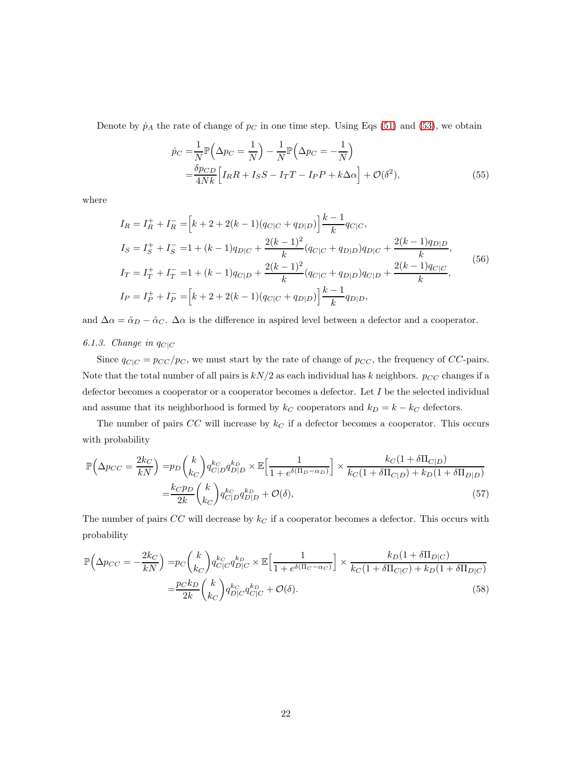Denote by  $\dot{p}_A$  the rate of change of  $p_C$  in one time step. Using Eqs [\(51\)](#page-20-0) and [\(53\)](#page-20-1), we obtain

<span id="page-21-1"></span>
$$
\dot{p}_C = \frac{1}{N} \mathbb{P}\left(\Delta p_C = \frac{1}{N}\right) - \frac{1}{N} \mathbb{P}\left(\Delta p_C = -\frac{1}{N}\right)
$$

$$
= \frac{\delta p_{CD}}{4Nk} \left[I_R R + I_S S - I_T T - I_P P + k\Delta \alpha\right] + \mathcal{O}(\delta^2),\tag{55}
$$

where

<span id="page-21-2"></span>
$$
I_R = I_R^+ + I_R^- = \left[k + 2 + 2(k - 1)(q_{C|C} + q_{D|D})\right] \frac{k - 1}{k} q_{C|C},
$$
  
\n
$$
I_S = I_S^+ + I_S^- = 1 + (k - 1)q_{D|C} + \frac{2(k - 1)^2}{k} (q_{C|C} + q_{D|D}) q_{D|C} + \frac{2(k - 1)q_{D|D}}{k},
$$
  
\n
$$
I_T = I_T^+ + I_T^- = 1 + (k - 1)q_{C|D} + \frac{2(k - 1)^2}{k} (q_{C|C} + q_{D|D}) q_{C|D} + \frac{2(k - 1)q_{C|C}}{k},
$$
  
\n
$$
I_P = I_P^+ + I_P^- = \left[k + 2 + 2(k - 1)(q_{C|C} + q_{D|D})\right] \frac{k - 1}{k} q_{D|D},
$$
  
\n(56)

and  $\Delta \alpha = \tilde{\alpha}_D - \tilde{\alpha}_C$ .  $\Delta \alpha$  is the difference in aspired level between a defector and a cooperator.

# 6.1.3. Change in  $q_{C|C}$

Since  $q_{C|C} = p_{CC}/p_C$ , we must start by the rate of change of  $p_{CC}$ , the frequency of CC-pairs. Note that the total number of all pairs is  $kN/2$  as each individual has k neighbors.  $p_{CC}$  changes if a defector becomes a cooperator or a cooperator becomes a defector. Let I be the selected individual and assume that its neighborhood is formed by  $k_C$  cooperators and  $k_D = k - k_C$  defectors.

The number of pairs  $CC$  will increase by  $k<sub>C</sub>$  if a defector becomes a cooperator. This occurs with probability

$$
\mathbb{P}\left(\Delta p_{CC} = \frac{2k_C}{kN}\right) = p_D \binom{k}{k_C} q_{C|D}^{k_C} q_{D|D}^{k_D} \times \mathbb{E}\left[\frac{1}{1 + e^{\delta(\Pi_D - \alpha_D)}}\right] \times \frac{k_C (1 + \delta \Pi_{C|D})}{k_C (1 + \delta \Pi_{C|D}) + k_D (1 + \delta \Pi_{D|D})}
$$
\n
$$
= \frac{k_C p_D}{2k} \binom{k}{k_C} q_{C|D}^{k_C} q_{D|D}^{k_D} + \mathcal{O}(\delta),\tag{57}
$$

The number of pairs  $CC$  will decrease by  $k<sub>C</sub>$  if a cooperator becomes a defector. This occurs with probability

<span id="page-21-0"></span>
$$
\mathbb{P}\left(\Delta p_{CC} = -\frac{2k_C}{kN}\right) = p_C \binom{k}{k_C} q_{C|C}^{k_C} q_{D|C}^{k_D} \times \mathbb{E}\left[\frac{1}{1 + e^{\delta(\Pi_C - \alpha_C)}}\right] \times \frac{k_D(1 + \delta\Pi_{D|C})}{k_C(1 + \delta\Pi_{C|C}) + k_D(1 + \delta\Pi_{D|C})}
$$
\n
$$
= \frac{p_C k_D}{2k} \binom{k}{k_C} q_{D|C}^{k_C} q_{C|C}^{k_D} + \mathcal{O}(\delta). \tag{58}
$$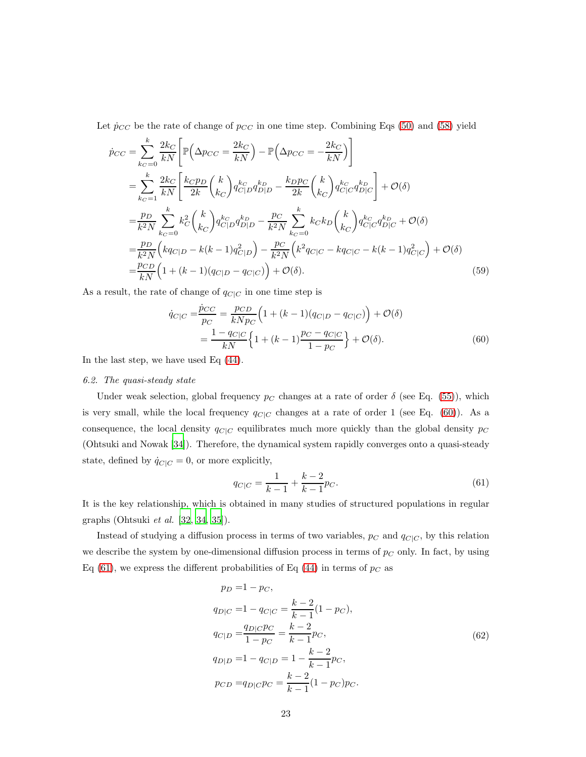Let  $\dot{p}_{CC}$  be the rate of change of  $p_{CC}$  in one time step. Combining Eqs [\(50\)](#page-20-2) and [\(58\)](#page-21-0) yield

$$
\dot{p}_{CC} = \sum_{k_C=0}^{k} \frac{2k_C}{kN} \left[ \mathbb{P} \left( \Delta p_{CC} = \frac{2k_C}{kN} \right) - \mathbb{P} \left( \Delta p_{CC} = -\frac{2k_C}{kN} \right) \right]
$$
\n
$$
= \sum_{k_C=1}^{k} \frac{2k_C}{kN} \left[ \frac{k_{CPD}}{2k} {k \choose k_C} q_{C|D}^{k_C} q_{D|D}^{k_D} - \frac{k_{DPC}}{2k} {k \choose k_C} q_{C|C}^{k_C} q_{D|C}^{k_D} \right] + \mathcal{O}(\delta)
$$
\n
$$
= \frac{p_D}{k^2N} \sum_{k_C=0}^{k} k_C^2 {k \choose k_C} q_{C|D}^{k_C} q_{D|D}^{k_D} - \frac{p_C}{k^2N} \sum_{k_C=0}^{k} k_C k_D {k \choose k_C} q_{C|C}^{k_C} q_{D|C}^{k_D} + \mathcal{O}(\delta)
$$
\n
$$
= \frac{p_D}{k^2N} \left( kq_{C|D} - k(k-1)q_{C|D}^2 \right) - \frac{p_C}{k^2N} \left( k^2 q_{C|C} - kq_{C|C} - k(k-1)q_{C|C}^2 \right) + \mathcal{O}(\delta)
$$
\n
$$
= \frac{p_{CD}}{kN} \left( 1 + (k-1)(q_{C|D} - q_{C|C}) \right) + \mathcal{O}(\delta).
$$
\n(59)

As a result, the rate of change of  $q_{C|C}$  in one time step is

$$
\dot{q}_{C|C} = \frac{\dot{p}_{CC}}{p_C} = \frac{p_{CD}}{kNp_C} \left( 1 + (k-1)(q_{C|D} - q_{C|C}) \right) + \mathcal{O}(\delta)
$$
\n
$$
= \frac{1 - q_{C|C}}{kN} \left\{ 1 + (k-1)\frac{p_C - q_{C|C}}{1 - p_C} \right\} + \mathcal{O}(\delta).
$$
\n(60)

In the last step, we have used Eq [\(44\)](#page-18-0).

#### 6.2. The quasi-steady state

Under weak selection, global frequency  $p_C$  changes at a rate of order  $\delta$  (see Eq. [\(55\)](#page-21-1)), which is very small, while the local frequency  $q_{C|C}$  changes at a rate of order 1 (see Eq. [\(60\)](#page-22-0)). As a consequence, the local density  $q_{C|C}$  equilibrates much more quickly than the global density  $p_C$ (Ohtsuki and Nowak [\[34\]](#page-16-9)). Therefore, the dynamical system rapidly converges onto a quasi-steady state, defined by  $\dot{q}_{C|C} = 0$ , or more explicitly,

<span id="page-22-1"></span><span id="page-22-0"></span>
$$
q_{C|C} = \frac{1}{k-1} + \frac{k-2}{k-1}p_C.
$$
\n(61)

It is the key relationship, which is obtained in many studies of structured populations in regular graphs (Ohtsuki et al. [\[32](#page-16-7), [34](#page-16-9), [35](#page-16-12)]).

Instead of studying a diffusion process in terms of two variables,  $p_C$  and  $q_{C|C}$ , by this relation we describe the system by one-dimensional diffusion process in terms of  $p<sub>C</sub>$  only. In fact, by using Eq [\(61\)](#page-22-1), we express the different probabilities of Eq [\(44\)](#page-18-0) in terms of  $p<sub>C</sub>$  as

$$
p_D = 1 - p_C,
$$
  
\n
$$
q_{D|C} = 1 - q_{C|C} = \frac{k-2}{k-1}(1 - p_C),
$$
  
\n
$$
q_{C|D} = \frac{q_{D|C}p_C}{1 - p_C} = \frac{k-2}{k-1}p_C,
$$
  
\n
$$
q_{D|D} = 1 - q_{C|D} = 1 - \frac{k-2}{k-1}p_C,
$$
  
\n
$$
p_{CD} = q_{D|C}p_C = \frac{k-2}{k-1}(1 - p_C)p_C.
$$
\n(62)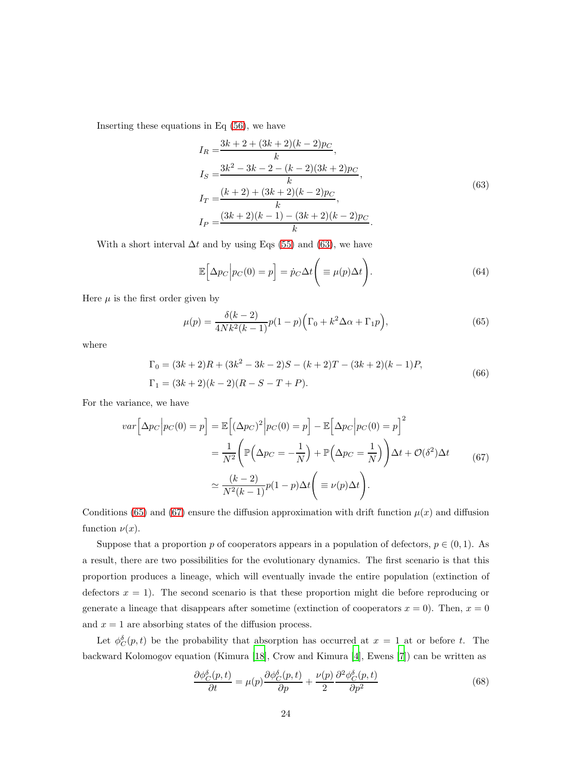<span id="page-23-0"></span>Inserting these equations in Eq [\(56\)](#page-21-2), we have

$$
I_R = \frac{3k + 2 + (3k + 2)(k - 2)p_C}{k},
$$
  
\n
$$
I_S = \frac{3k^2 - 3k - 2 - (k - 2)(3k + 2)p_C}{k},
$$
  
\n
$$
I_T = \frac{(k + 2) + (3k + 2)(k - 2)p_C}{k},
$$
  
\n
$$
I_P = \frac{(3k + 2)(k - 1) - (3k + 2)(k - 2)p_C}{k}.
$$
\n(63)

With a short interval  $\Delta t$  and by using Eqs [\(55\)](#page-21-1) and [\(63\)](#page-23-0), we have

$$
\mathbb{E}\Big[\Delta p_C \Big| p_C(0) = p \Big] = \dot{p}_C \Delta t \Bigg( \equiv \mu(p) \Delta t \Bigg). \tag{64}
$$

Here  $\mu$  is the first order given by

<span id="page-23-1"></span>
$$
\mu(p) = \frac{\delta(k-2)}{4Nk^2(k-1)}p(1-p)\Big(\Gamma_0 + k^2\Delta\alpha + \Gamma_1p\Big),\tag{65}
$$

where

$$
\Gamma_0 = (3k+2)R + (3k^2 - 3k - 2)S - (k+2)T - (3k+2)(k-1)P,
$$
  
\n
$$
\Gamma_1 = (3k+2)(k-2)(R-S-T+P).
$$
\n(66)

For the variance, we have

<span id="page-23-2"></span>
$$
var\left[\Delta p_C \middle| p_C(0) = p\right] = \mathbb{E}\left[\left(\Delta p_C\right)^2 \middle| p_C(0) = p\right] - \mathbb{E}\left[\Delta p_C \middle| p_C(0) = p\right]^2
$$

$$
= \frac{1}{N^2} \left(\mathbb{P}\left(\Delta p_C = -\frac{1}{N}\right) + \mathbb{P}\left(\Delta p_C = \frac{1}{N}\right)\right) \Delta t + \mathcal{O}(\delta^2) \Delta t \tag{67}
$$

$$
\simeq \frac{(k-2)}{N^2(k-1)} p(1-p) \Delta t \left(\equiv \nu(p) \Delta t\right).
$$

Conditions [\(65\)](#page-23-1) and [\(67\)](#page-23-2) ensure the diffusion approximation with drift function  $\mu(x)$  and diffusion function  $\nu(x)$ .

Suppose that a proportion p of cooperators appears in a population of defectors,  $p \in (0,1)$ . As a result, there are two possibilities for the evolutionary dynamics. The first scenario is that this proportion produces a lineage, which will eventually invade the entire population (extinction of defectors  $x = 1$ . The second scenario is that these proportion might die before reproducing or generate a lineage that disappears after sometime (extinction of cooperators  $x = 0$ ). Then,  $x = 0$ and  $x = 1$  are absorbing states of the diffusion process.

Let  $\phi_C^{\delta}(p,t)$  be the probability that absorption has occurred at  $x = 1$  at or before t. The backward Kolomogov equation (Kimura [\[18](#page-15-13)], Crow and Kimura [\[4\]](#page-14-10), Ewens [\[7\]](#page-14-11)) can be written as

<span id="page-23-3"></span>
$$
\frac{\partial \phi_C^{\delta}(p,t)}{\partial t} = \mu(p) \frac{\partial \phi_C^{\delta}(p,t)}{\partial p} + \frac{\nu(p)}{2} \frac{\partial^2 \phi_C^{\delta}(p,t)}{\partial p^2}
$$
(68)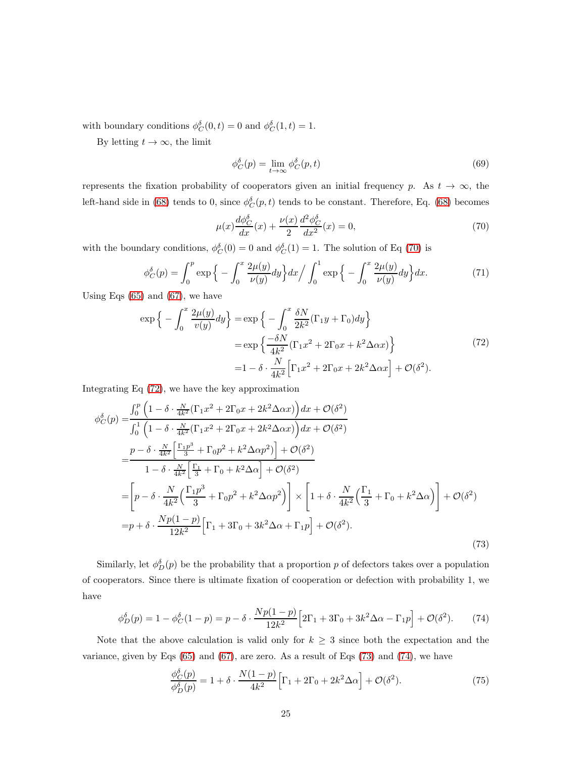with boundary conditions  $\phi_C^{\delta}(0, t) = 0$  and  $\phi_C^{\delta}(1, t) = 1$ .

By letting  $t \to \infty$ , the limit

$$
\phi_C^{\delta}(p) = \lim_{t \to \infty} \phi_C^{\delta}(p, t) \tag{69}
$$

represents the fixation probability of cooperators given an initial frequency p. As  $t \to \infty$ , the left-hand side in [\(68\)](#page-23-3) tends to 0, since  $\phi_C^{\delta}(p,t)$  tends to be constant. Therefore, Eq. (68) becomes

<span id="page-24-2"></span>
$$
\mu(x)\frac{d\phi_C^{\delta}}{dx}(x) + \frac{\nu(x)}{2}\frac{d^2\phi_C^{\delta}}{dx^2}(x) = 0,
$$
\n(70)

with the boundary conditions,  $\phi_C^{\delta}(0) = 0$  and  $\phi_C^{\delta}(1) = 1$ . The solution of Eq [\(70\)](#page-24-2) is

$$
\phi_C^{\delta}(p) = \int_0^p \exp\left\{-\int_0^x \frac{2\mu(y)}{\nu(y)} dy\right\} dx \Big/\int_0^1 \exp\left\{-\int_0^x \frac{2\mu(y)}{\nu(y)} dy\right\} dx. \tag{71}
$$

<span id="page-24-3"></span>Using Eqs  $(65)$  and  $(67)$ , we have

$$
\exp\left\{-\int_0^x \frac{2\mu(y)}{v(y)} dy\right\} = \exp\left\{-\int_0^x \frac{\delta N}{2k^2} (\Gamma_1 y + \Gamma_0) dy\right\}
$$

$$
= \exp\left\{\frac{-\delta N}{4k^2} (\Gamma_1 x^2 + 2\Gamma_0 x + k^2 \Delta \alpha x)\right\}
$$

$$
= 1 - \delta \cdot \frac{N}{4k^2} [\Gamma_1 x^2 + 2\Gamma_0 x + 2k^2 \Delta \alpha x] + \mathcal{O}(\delta^2).
$$
 (72)

Integrating Eq [\(72\)](#page-24-3), we have the key approximation

<span id="page-24-0"></span>
$$
\phi_C^{\delta}(p) = \frac{\int_0^p \left(1 - \delta \cdot \frac{N}{4k^2} (\Gamma_1 x^2 + 2\Gamma_0 x + 2k^2 \Delta \alpha x) \right) dx + \mathcal{O}(\delta^2)}{\int_0^1 \left(1 - \delta \cdot \frac{N}{4k^2} (\Gamma_1 x^2 + 2\Gamma_0 x + 2k^2 \Delta \alpha x) \right) dx + \mathcal{O}(\delta^2)}
$$
\n
$$
= \frac{p - \delta \cdot \frac{N}{4k^2} \left[ \frac{\Gamma_1 p^3}{3} + \Gamma_0 p^2 + k^2 \Delta \alpha p^2 \right] + \mathcal{O}(\delta^2)}{1 - \delta \cdot \frac{N}{4k^2} \left[ \frac{\Gamma_1}{3} + \Gamma_0 + k^2 \Delta \alpha \right] + \mathcal{O}(\delta^2)}
$$
\n
$$
= \left[ p - \delta \cdot \frac{N}{4k^2} \left( \frac{\Gamma_1 p^3}{3} + \Gamma_0 p^2 + k^2 \Delta \alpha p^2 \right) \right] \times \left[ 1 + \delta \cdot \frac{N}{4k^2} \left( \frac{\Gamma_1}{3} + \Gamma_0 + k^2 \Delta \alpha \right) \right] + \mathcal{O}(\delta^2)
$$
\n
$$
= p + \delta \cdot \frac{Np(1-p)}{12k^2} \left[ \Gamma_1 + 3\Gamma_0 + 3k^2 \Delta \alpha + \Gamma_1 p \right] + \mathcal{O}(\delta^2).
$$
\n(73)

Similarly, let  $\phi_D^{\delta}(p)$  be the probability that a proportion p of defectors takes over a population of cooperators. Since there is ultimate fixation of cooperation or defection with probability 1, we have

<span id="page-24-4"></span>
$$
\phi_D^{\delta}(p) = 1 - \phi_C^{\delta}(1-p) = p - \delta \cdot \frac{Np(1-p)}{12k^2} \left[ 2\Gamma_1 + 3\Gamma_0 + 3k^2 \Delta \alpha - \Gamma_1 p \right] + \mathcal{O}(\delta^2). \tag{74}
$$

Note that the above calculation is valid only for  $k \geq 3$  since both the expectation and the variance, given by Eqs  $(65)$  and  $(67)$ , are zero. As a result of Eqs  $(73)$  and  $(74)$ , we have

<span id="page-24-1"></span>
$$
\frac{\phi_C^{\delta}(p)}{\phi_D^{\delta}(p)} = 1 + \delta \cdot \frac{N(1-p)}{4k^2} \Big[ \Gamma_1 + 2\Gamma_0 + 2k^2 \Delta \alpha \Big] + \mathcal{O}(\delta^2). \tag{75}
$$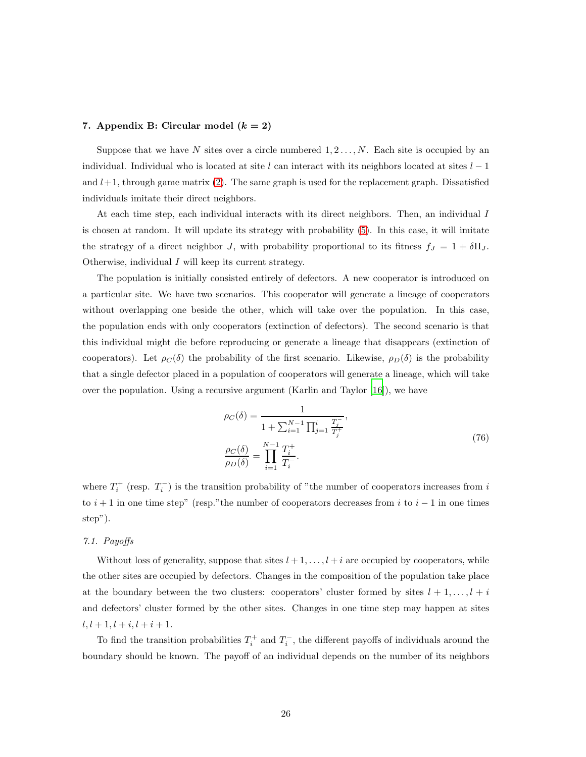# 7. Appendix B: Circular model  $(k = 2)$

Suppose that we have N sites over a circle numbered  $1, 2, \ldots, N$ . Each site is occupied by an individual. Individual who is located at site l can interact with its neighbors located at sites  $l-1$ and  $l+1$ , through game matrix [\(2\)](#page-4-0). The same graph is used for the replacement graph. Dissatisfied individuals imitate their direct neighbors.

At each time step, each individual interacts with its direct neighbors. Then, an individual I is chosen at random. It will update its strategy with probability [\(5\)](#page-4-1). In this case, it will imitate the strategy of a direct neighbor J, with probability proportional to its fitness  $f_J = 1 + \delta \Pi_J$ . Otherwise, individual I will keep its current strategy.

The population is initially consisted entirely of defectors. A new cooperator is introduced on a particular site. We have two scenarios. This cooperator will generate a lineage of cooperators without overlapping one beside the other, which will take over the population. In this case, the population ends with only cooperators (extinction of defectors). The second scenario is that this individual might die before reproducing or generate a lineage that disappears (extinction of cooperators). Let  $\rho_C(\delta)$  the probability of the first scenario. Likewise,  $\rho_D(\delta)$  is the probability that a single defector placed in a population of cooperators will generate a lineage, which will take over the population. Using a recursive argument (Karlin and Taylor  $|16|$ ), we have

$$
\rho_C(\delta) = \frac{1}{1 + \sum_{i=1}^{N-1} \prod_{j=1}^i \frac{T_j^-}{T_j^+}},
$$
\n
$$
\frac{\rho_C(\delta)}{\rho_D(\delta)} = \prod_{i=1}^{N-1} \frac{T_i^+}{T_i^-}.
$$
\n(76)

where  $T_i^+$  (resp.  $T_i^-$ ) is the transition probability of "the number of cooperators increases from i to  $i + 1$  in one time step" (resp."the number of cooperators decreases from i to  $i - 1$  in one times step").

# 7.1. Payoffs

Without loss of generality, suppose that sites  $l + 1, \ldots, l + i$  are occupied by cooperators, while the other sites are occupied by defectors. Changes in the composition of the population take place at the boundary between the two clusters: cooperators' cluster formed by sites  $l + 1, \ldots, l + i$ and defectors' cluster formed by the other sites. Changes in one time step may happen at sites  $l, l + 1, l + i, l + i + 1.$ 

To find the transition probabilities  $T_i^+$  and  $T_i^-$ , the different payoffs of individuals around the boundary should be known. The payoff of an individual depends on the number of its neighbors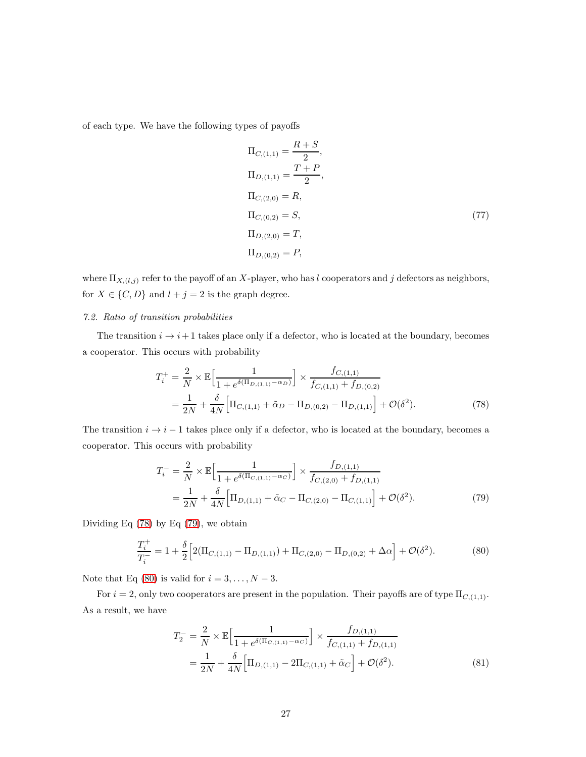of each type. We have the following types of payoffs

$$
\Pi_{C,(1,1)} = \frac{R+S}{2},
$$
\n
$$
\Pi_{D,(1,1)} = \frac{T+P}{2},
$$
\n
$$
\Pi_{C,(2,0)} = R,
$$
\n
$$
\Pi_{C,(0,2)} = S,
$$
\n
$$
\Pi_{D,(2,0)} = T,
$$
\n
$$
\Pi_{D,(0,2)} = P,
$$
\n
$$
(77)
$$

where  $\Pi_{X,(l,j)}$  refer to the payoff of an X-player, who has l cooperators and j defectors as neighbors, for  $X\in\{C,D\}$  and  $l+j=2$  is the graph degree.

# 7.2. Ratio of transition probabilities

The transition  $i \rightarrow i+1$  takes place only if a defector, who is located at the boundary, becomes a cooperator. This occurs with probability

<span id="page-26-0"></span>
$$
T_i^+ = \frac{2}{N} \times \mathbb{E} \Big[ \frac{1}{1 + e^{\delta(\Pi_{D,(1,1)} - \alpha_D)}} \Big] \times \frac{f_{C,(1,1)}}{f_{C,(1,1)} + f_{D,(0,2)}} = \frac{1}{2N} + \frac{\delta}{4N} \Big[ \Pi_{C,(1,1)} + \tilde{\alpha}_D - \Pi_{D,(0,2)} - \Pi_{D,(1,1)} \Big] + \mathcal{O}(\delta^2).
$$
(78)

The transition  $i \rightarrow i - 1$  takes place only if a defector, who is located at the boundary, becomes a cooperator. This occurs with probability

<span id="page-26-1"></span>
$$
T_i^- = \frac{2}{N} \times \mathbb{E} \Big[ \frac{1}{1 + e^{\delta(\Pi_{C,(1,1)} - \alpha_C)}} \Big] \times \frac{f_{D,(1,1)}}{f_{C,(2,0)} + f_{D,(1,1)}} = \frac{1}{2N} + \frac{\delta}{4N} \Big[ \Pi_{D,(1,1)} + \tilde{\alpha}_C - \Pi_{C,(2,0)} - \Pi_{C,(1,1)} \Big] + \mathcal{O}(\delta^2).
$$
(79)

Dividing Eq [\(78\)](#page-26-0) by Eq [\(79\)](#page-26-1), we obtain

<span id="page-26-2"></span>
$$
\frac{T_i^+}{T_i^-} = 1 + \frac{\delta}{2} \Big[ 2(\Pi_{C,(1,1)} - \Pi_{D,(1,1)}) + \Pi_{C,(2,0)} - \Pi_{D,(0,2)} + \Delta \alpha \Big] + \mathcal{O}(\delta^2). \tag{80}
$$

Note that Eq [\(80\)](#page-26-2) is valid for  $i = 3, \ldots, N - 3$ .

For  $i = 2$ , only two cooperators are present in the population. Their payoffs are of type  $\Pi_{C,(1,1)}$ . As a result, we have

$$
T_2^- = \frac{2}{N} \times \mathbb{E} \Big[ \frac{1}{1 + e^{\delta(\Pi_{C,(1,1)} - \alpha_C)}} \Big] \times \frac{f_{D,(1,1)}}{f_{C,(1,1)} + f_{D,(1,1)}} = \frac{1}{2N} + \frac{\delta}{4N} \Big[ \Pi_{D,(1,1)} - 2\Pi_{C,(1,1)} + \tilde{\alpha}_C \Big] + \mathcal{O}(\delta^2).
$$
(81)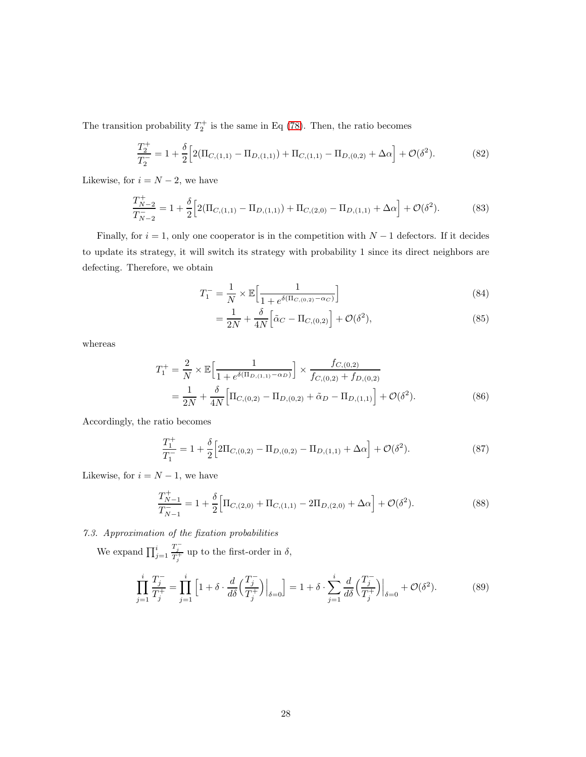The transition probability  $T_2^+$  is the same in Eq [\(78\)](#page-26-0). Then, the ratio becomes

<span id="page-27-0"></span>
$$
\frac{T_2^+}{T_2^-} = 1 + \frac{\delta}{2} \Big[ 2(\Pi_{C,(1,1)} - \Pi_{D,(1,1)}) + \Pi_{C,(1,1)} - \Pi_{D,(0,2)} + \Delta \alpha \Big] + \mathcal{O}(\delta^2). \tag{82}
$$

Likewise, for  $i = N - 2$ , we have

<span id="page-27-1"></span>
$$
\frac{T_{N-2}^+}{T_{N-2}^-} = 1 + \frac{\delta}{2} \Big[ 2(\Pi_{C,(1,1)} - \Pi_{D,(1,1)}) + \Pi_{C,(2,0)} - \Pi_{D,(1,1)} + \Delta \alpha \Big] + \mathcal{O}(\delta^2). \tag{83}
$$

Finally, for  $i = 1$ , only one cooperator is in the competition with  $N - 1$  defectors. If it decides to update its strategy, it will switch its strategy with probability 1 since its direct neighbors are defecting. Therefore, we obtain

$$
T_1^- = \frac{1}{N} \times \mathbb{E} \Big[ \frac{1}{1 + e^{\delta(\Pi_{C,(0,2)} - \alpha_C)}} \Big]
$$
(84)

$$
=\frac{1}{2N}+\frac{\delta}{4N}\Big[\tilde{\alpha}_C-\Pi_{C,(0,2)}\Big]+\mathcal{O}(\delta^2),\tag{85}
$$

whereas

$$
T_1^+ = \frac{2}{N} \times \mathbb{E} \Big[ \frac{1}{1 + e^{\delta(\Pi_{D,(1,1)} - \alpha_D)}} \Big] \times \frac{f_{C,(0,2)}}{f_{C,(0,2)} + f_{D,(0,2)}} = \frac{1}{2N} + \frac{\delta}{4N} \Big[ \Pi_{C,(0,2)} - \Pi_{D,(0,2)} + \tilde{\alpha}_D - \Pi_{D,(1,1)} \Big] + \mathcal{O}(\delta^2).
$$
(86)

Accordingly, the ratio becomes

<span id="page-27-2"></span>
$$
\frac{T_1^+}{T_1^-} = 1 + \frac{\delta}{2} \Big[ 2\Pi_{C,(0,2)} - \Pi_{D,(0,2)} - \Pi_{D,(1,1)} + \Delta \alpha \Big] + \mathcal{O}(\delta^2). \tag{87}
$$

Likewise, for  $i = N - 1$ , we have

<span id="page-27-3"></span>
$$
\frac{T_{N-1}^+}{T_{N-1}^-} = 1 + \frac{\delta}{2} \Big[ \Pi_{C,(2,0)} + \Pi_{C,(1,1)} - 2\Pi_{D,(2,0)} + \Delta \alpha \Big] + \mathcal{O}(\delta^2). \tag{88}
$$

7.3. Approximation of the fixation probabilities

We expand  $\prod_{j=1}^i$  $\frac{T_j^-}{T_j^+}$  up to the first-order in  $\delta$ ,

$$
\prod_{j=1}^{i} \frac{T_j^-}{T_j^+} = \prod_{j=1}^{i} \left[ 1 + \delta \cdot \frac{d}{d\delta} \left( \frac{T_j^-}{T_j^+} \right) \Big|_{\delta=0} \right] = 1 + \delta \cdot \sum_{j=1}^{i} \frac{d}{d\delta} \left( \frac{T_j^-}{T_j^+} \right) \Big|_{\delta=0} + \mathcal{O}(\delta^2). \tag{89}
$$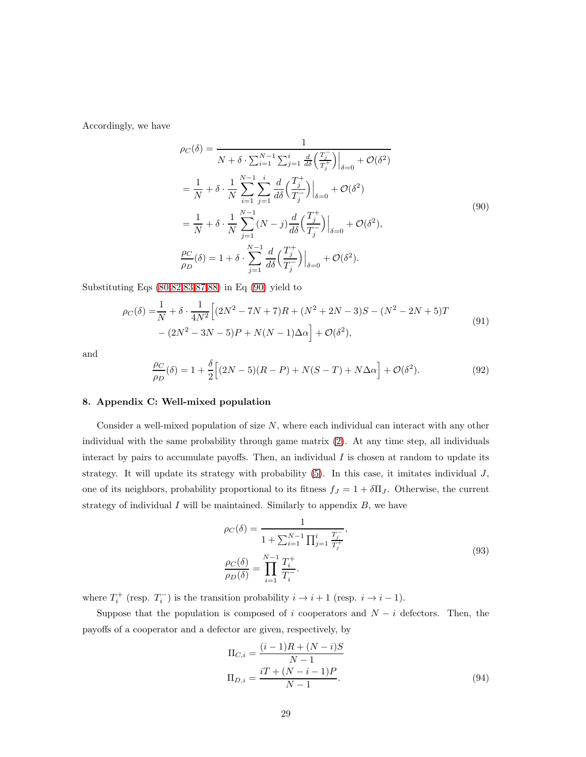<span id="page-28-2"></span>Accordingly, we have

$$
\rho_C(\delta) = \frac{1}{N + \delta \cdot \sum_{i=1}^{N-1} \sum_{j=1}^{i} \frac{d}{d\delta} \left(\frac{T_j}{T_j^+}\right)|_{\delta=0} + \mathcal{O}(\delta^2)} \n= \frac{1}{N} + \delta \cdot \frac{1}{N} \sum_{i=1}^{N-1} \sum_{j=1}^{i} \frac{d}{d\delta} \left(\frac{T_j^+}{T_j^-}\right)|_{\delta=0} + \mathcal{O}(\delta^2) \n= \frac{1}{N} + \delta \cdot \frac{1}{N} \sum_{j=1}^{N-1} (N - j) \frac{d}{d\delta} \left(\frac{T_j^+}{T_j^-}\right)|_{\delta=0} + \mathcal{O}(\delta^2), \n\frac{\rho_C}{\rho_D}(\delta) = 1 + \delta \cdot \sum_{j=1}^{N-1} \frac{d}{d\delta} \left(\frac{T_j^+}{T_j^-}\right)|_{\delta=0} + \mathcal{O}(\delta^2).
$$
\n(90)

<span id="page-28-0"></span>Substituting Eqs [\(80](#page-26-2)[,82,](#page-27-0)[83,](#page-27-1)[87,](#page-27-2)[88\)](#page-27-3) in Eq [\(90\)](#page-28-2) yield to

$$
\rho_C(\delta) = \frac{1}{N} + \delta \cdot \frac{1}{4N^2} \Big[ (2N^2 - 7N + 7)R + (N^2 + 2N - 3)S - (N^2 - 2N + 5)T - (2N^2 - 3N - 5)P + N(N - 1)\Delta\alpha \Big] + \mathcal{O}(\delta^2),\tag{91}
$$

and

<span id="page-28-1"></span>
$$
\frac{\rho_C}{\rho_D}(\delta) = 1 + \frac{\delta}{2} \Big[ (2N - 5)(R - P) + N(S - T) + N\Delta\alpha \Big] + \mathcal{O}(\delta^2). \tag{92}
$$

### 8. Appendix C: Well-mixed population

Consider a well-mixed population of size N, where each individual can interact with any other individual with the same probability through game matrix [\(2\)](#page-4-0). At any time step, all individuals interact by pairs to accumulate payoffs. Then, an individual  $I$  is chosen at random to update its strategy. It will update its strategy with probability  $(5)$ . In this case, it imitates individual  $J$ , one of its neighbors, probability proportional to its fitness  $f_J = 1 + \delta \Pi_J$ . Otherwise, the current strategy of individual  $I$  will be maintained. Similarly to appendix  $B$ , we have

$$
\rho_C(\delta) = \frac{1}{1 + \sum_{i=1}^{N-1} \prod_{j=1}^{i} \frac{T_j}{T_j^+}},
$$
\n
$$
\frac{\rho_C(\delta)}{\rho_D(\delta)} = \prod_{i=1}^{N-1} \frac{T_i^+}{T_i^-}.
$$
\n(93)

<span id="page-28-3"></span>where  $T_i^+$  (resp.  $T_i^-$ ) is the transition probability  $i \to i+1$  (resp.  $i \to i-1$ ).

Suppose that the population is composed of i cooperators and  $N - i$  defectors. Then, the payoffs of a cooperator and a defector are given, respectively, by

$$
\Pi_{C,i} = \frac{(i-1)R + (N-i)S}{N-1}
$$

$$
\Pi_{D,i} = \frac{iT + (N-i-1)P}{N-1}.
$$
(94)